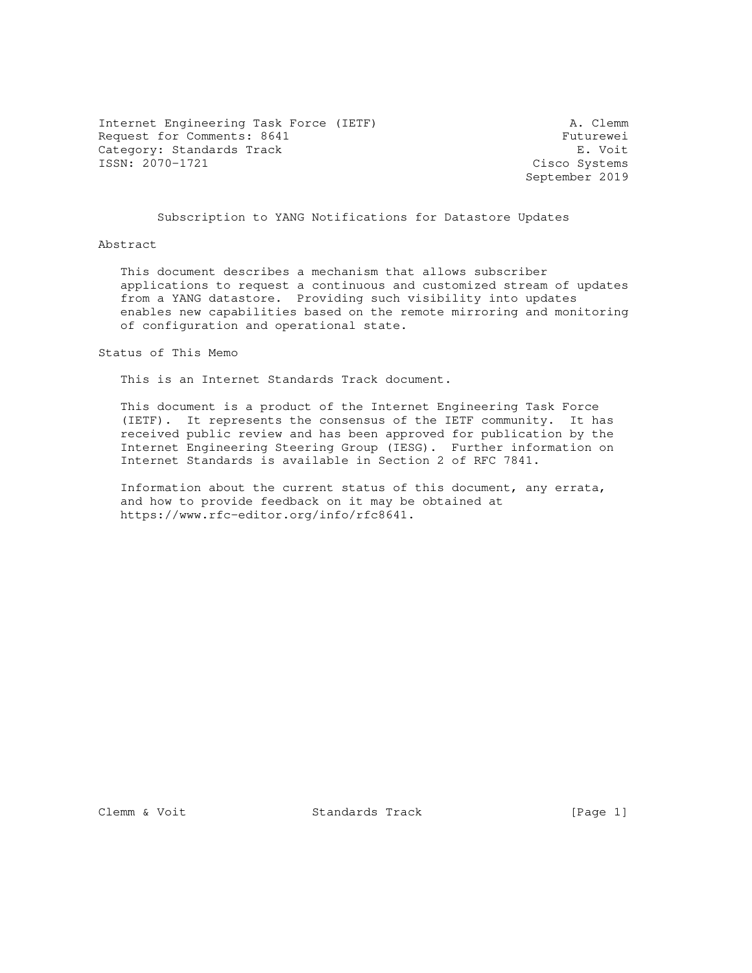Internet Engineering Task Force (IETF) A. Clemm Request for Comments: 8641 Futurewei<br>
Category: Standards Track Futurewei Category: Standards Track ISSN: 2070-1721 Cisco Systems

September 2019

## Subscription to YANG Notifications for Datastore Updates

### Abstract

 This document describes a mechanism that allows subscriber applications to request a continuous and customized stream of updates from a YANG datastore. Providing such visibility into updates enables new capabilities based on the remote mirroring and monitoring of configuration and operational state.

### Status of This Memo

This is an Internet Standards Track document.

 This document is a product of the Internet Engineering Task Force (IETF). It represents the consensus of the IETF community. It has received public review and has been approved for publication by the Internet Engineering Steering Group (IESG). Further information on Internet Standards is available in Section 2 of RFC 7841.

 Information about the current status of this document, any errata, and how to provide feedback on it may be obtained at https://www.rfc-editor.org/info/rfc8641.

Clemm & Voit **Standards Track** [Page 1]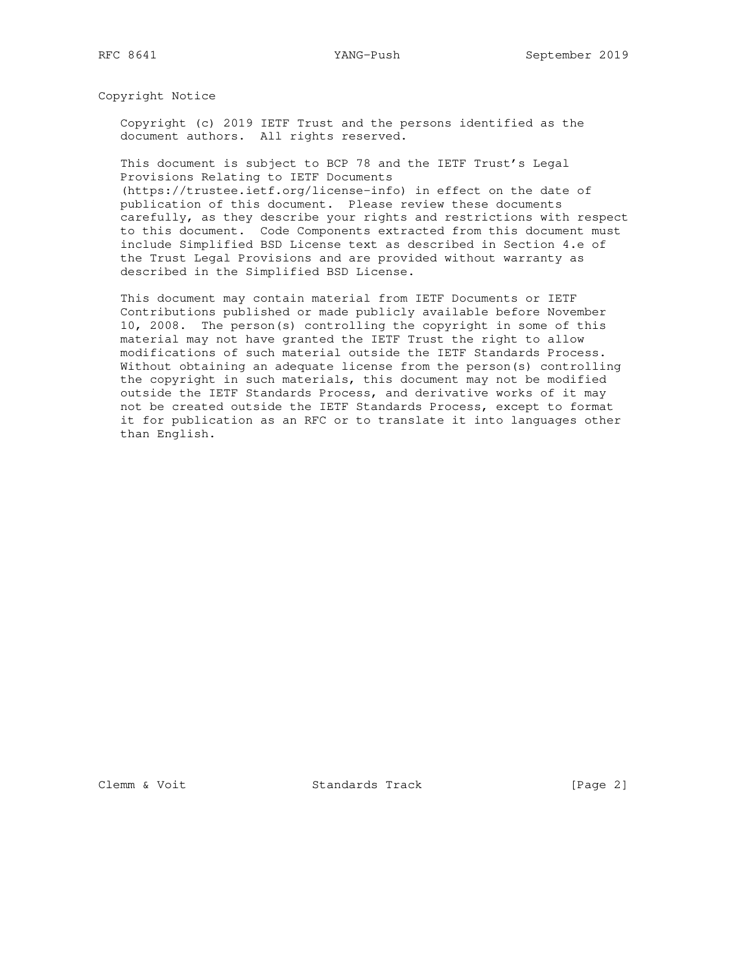Copyright Notice

 Copyright (c) 2019 IETF Trust and the persons identified as the document authors. All rights reserved.

 This document is subject to BCP 78 and the IETF Trust's Legal Provisions Relating to IETF Documents

 (https://trustee.ietf.org/license-info) in effect on the date of publication of this document. Please review these documents carefully, as they describe your rights and restrictions with respect to this document. Code Components extracted from this document must include Simplified BSD License text as described in Section 4.e of the Trust Legal Provisions and are provided without warranty as described in the Simplified BSD License.

 This document may contain material from IETF Documents or IETF Contributions published or made publicly available before November 10, 2008. The person(s) controlling the copyright in some of this material may not have granted the IETF Trust the right to allow modifications of such material outside the IETF Standards Process. Without obtaining an adequate license from the person(s) controlling the copyright in such materials, this document may not be modified outside the IETF Standards Process, and derivative works of it may not be created outside the IETF Standards Process, except to format it for publication as an RFC or to translate it into languages other than English.

Clemm & Voit Standards Track [Page 2]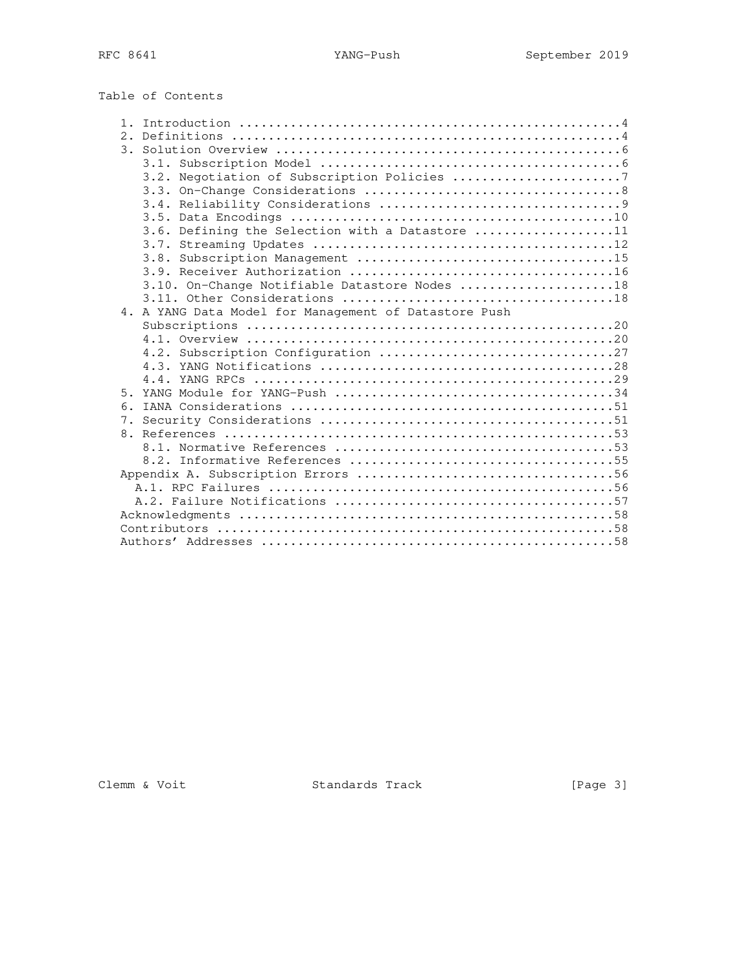| Table of Contents |  |
|-------------------|--|
|-------------------|--|

| 1 <sup>1</sup> |                                                       |
|----------------|-------------------------------------------------------|
| 2 <sup>1</sup> |                                                       |
|                |                                                       |
|                |                                                       |
|                | 3.2. Negotiation of Subscription Policies 7           |
|                |                                                       |
|                |                                                       |
|                |                                                       |
|                | 3.6. Defining the Selection with a Datastore 11       |
|                |                                                       |
|                |                                                       |
|                |                                                       |
|                | 3.10. On-Change Notifiable Datastore Nodes 18         |
|                |                                                       |
|                | 4. A YANG Data Model for Management of Datastore Push |
|                |                                                       |
|                |                                                       |
|                |                                                       |
|                |                                                       |
|                |                                                       |
| 5.             |                                                       |
| 6.             |                                                       |
|                |                                                       |
|                |                                                       |
|                |                                                       |
|                |                                                       |
|                |                                                       |
|                |                                                       |
|                |                                                       |
|                |                                                       |
|                |                                                       |
|                |                                                       |

Clemm & Voit Standards Track [Page 3]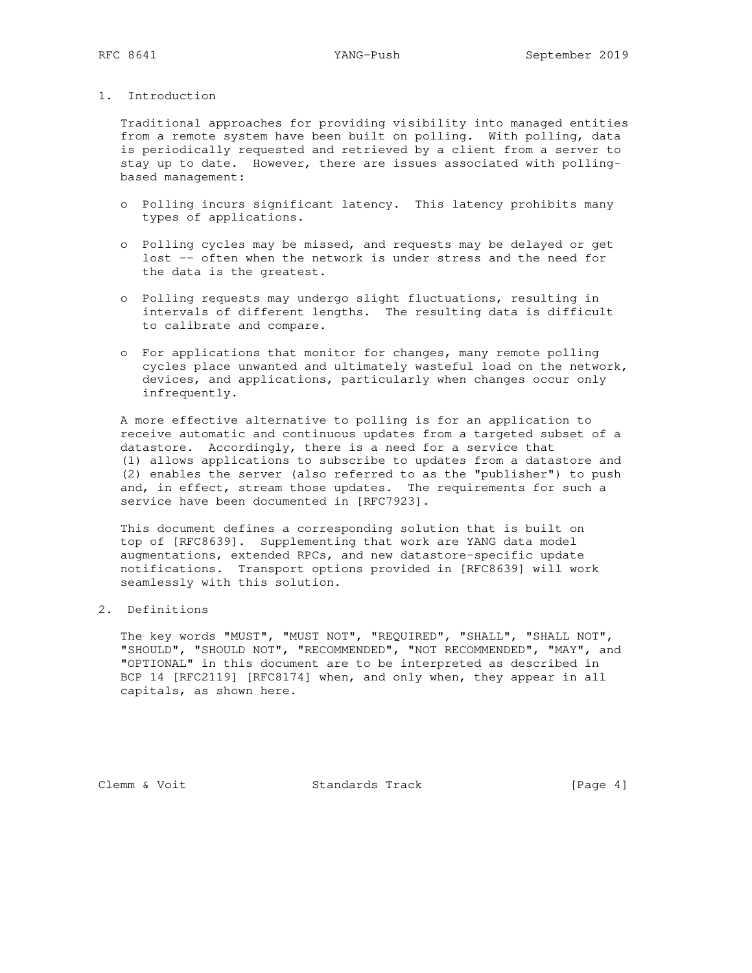## 1. Introduction

 Traditional approaches for providing visibility into managed entities from a remote system have been built on polling. With polling, data is periodically requested and retrieved by a client from a server to stay up to date. However, there are issues associated with polling based management:

- o Polling incurs significant latency. This latency prohibits many types of applications.
- o Polling cycles may be missed, and requests may be delayed or get lost -- often when the network is under stress and the need for the data is the greatest.
- o Polling requests may undergo slight fluctuations, resulting in intervals of different lengths. The resulting data is difficult to calibrate and compare.
- o For applications that monitor for changes, many remote polling cycles place unwanted and ultimately wasteful load on the network, devices, and applications, particularly when changes occur only infrequently.

 A more effective alternative to polling is for an application to receive automatic and continuous updates from a targeted subset of a datastore. Accordingly, there is a need for a service that (1) allows applications to subscribe to updates from a datastore and (2) enables the server (also referred to as the "publisher") to push and, in effect, stream those updates. The requirements for such a service have been documented in [RFC7923].

 This document defines a corresponding solution that is built on top of [RFC8639]. Supplementing that work are YANG data model augmentations, extended RPCs, and new datastore-specific update notifications. Transport options provided in [RFC8639] will work seamlessly with this solution.

# 2. Definitions

 The key words "MUST", "MUST NOT", "REQUIRED", "SHALL", "SHALL NOT", "SHOULD", "SHOULD NOT", "RECOMMENDED", "NOT RECOMMENDED", "MAY", and "OPTIONAL" in this document are to be interpreted as described in BCP 14 [RFC2119] [RFC8174] when, and only when, they appear in all capitals, as shown here.

Clemm & Voit Standards Track [Page 4]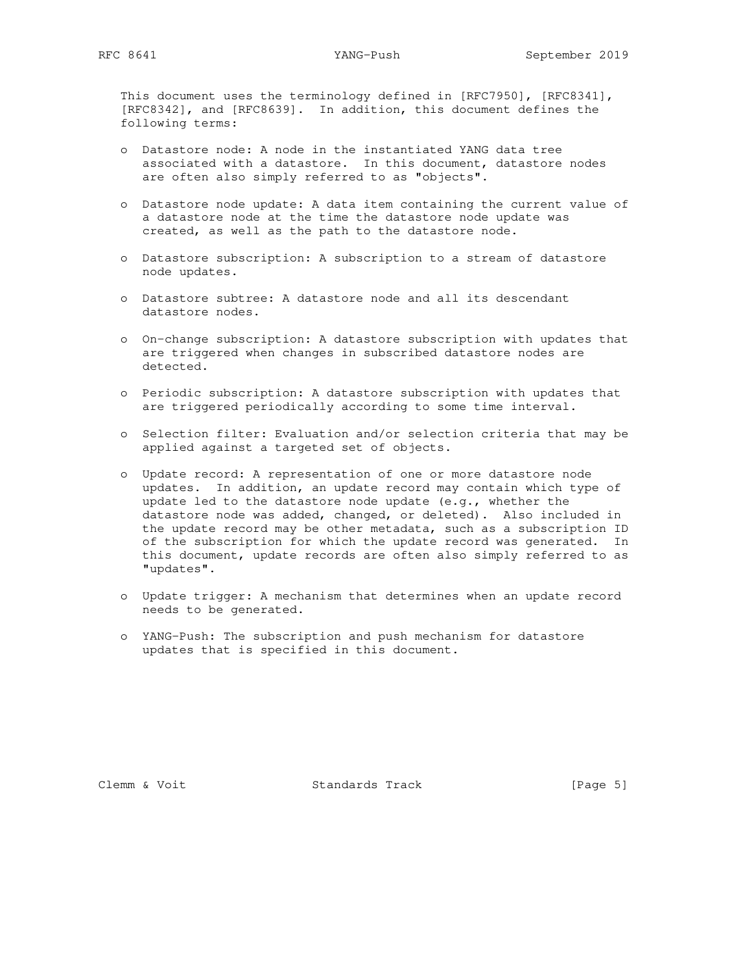This document uses the terminology defined in [RFC7950], [RFC8341], [RFC8342], and [RFC8639]. In addition, this document defines the following terms:

- o Datastore node: A node in the instantiated YANG data tree associated with a datastore. In this document, datastore nodes are often also simply referred to as "objects".
- o Datastore node update: A data item containing the current value of a datastore node at the time the datastore node update was created, as well as the path to the datastore node.
- o Datastore subscription: A subscription to a stream of datastore node updates.
- o Datastore subtree: A datastore node and all its descendant datastore nodes.
- o On-change subscription: A datastore subscription with updates that are triggered when changes in subscribed datastore nodes are detected.
- o Periodic subscription: A datastore subscription with updates that are triggered periodically according to some time interval.
- o Selection filter: Evaluation and/or selection criteria that may be applied against a targeted set of objects.
- o Update record: A representation of one or more datastore node updates. In addition, an update record may contain which type of update led to the datastore node update (e.g., whether the datastore node was added, changed, or deleted). Also included in the update record may be other metadata, such as a subscription ID of the subscription for which the update record was generated. In this document, update records are often also simply referred to as "updates".
- o Update trigger: A mechanism that determines when an update record needs to be generated.
- o YANG-Push: The subscription and push mechanism for datastore updates that is specified in this document.

Clemm & Voit Standards Track [Page 5]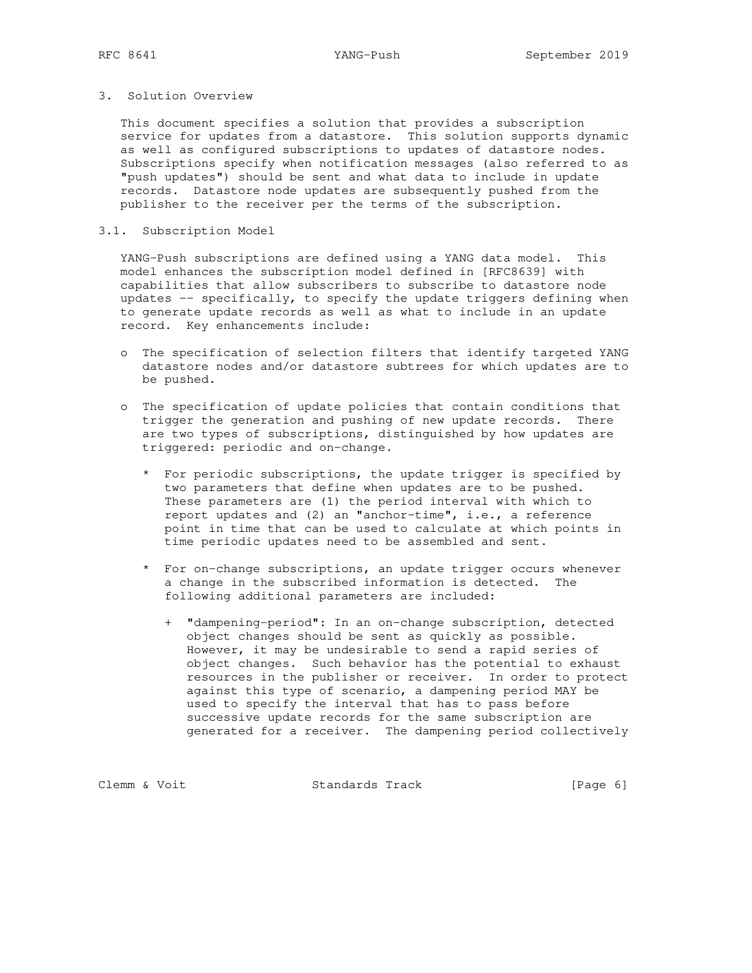## 3. Solution Overview

 This document specifies a solution that provides a subscription service for updates from a datastore. This solution supports dynamic as well as configured subscriptions to updates of datastore nodes. Subscriptions specify when notification messages (also referred to as "push updates") should be sent and what data to include in update records. Datastore node updates are subsequently pushed from the publisher to the receiver per the terms of the subscription.

### 3.1. Subscription Model

 YANG-Push subscriptions are defined using a YANG data model. This model enhances the subscription model defined in [RFC8639] with capabilities that allow subscribers to subscribe to datastore node updates -- specifically, to specify the update triggers defining when to generate update records as well as what to include in an update record. Key enhancements include:

- o The specification of selection filters that identify targeted YANG datastore nodes and/or datastore subtrees for which updates are to be pushed.
- o The specification of update policies that contain conditions that trigger the generation and pushing of new update records. There are two types of subscriptions, distinguished by how updates are triggered: periodic and on-change.
	- \* For periodic subscriptions, the update trigger is specified by two parameters that define when updates are to be pushed. These parameters are (1) the period interval with which to report updates and (2) an "anchor-time", i.e., a reference point in time that can be used to calculate at which points in time periodic updates need to be assembled and sent.
	- \* For on-change subscriptions, an update trigger occurs whenever a change in the subscribed information is detected. The following additional parameters are included:
		- + "dampening-period": In an on-change subscription, detected object changes should be sent as quickly as possible. However, it may be undesirable to send a rapid series of object changes. Such behavior has the potential to exhaust resources in the publisher or receiver. In order to protect against this type of scenario, a dampening period MAY be used to specify the interval that has to pass before successive update records for the same subscription are generated for a receiver. The dampening period collectively

Clemm & Voit Standards Track [Page 6]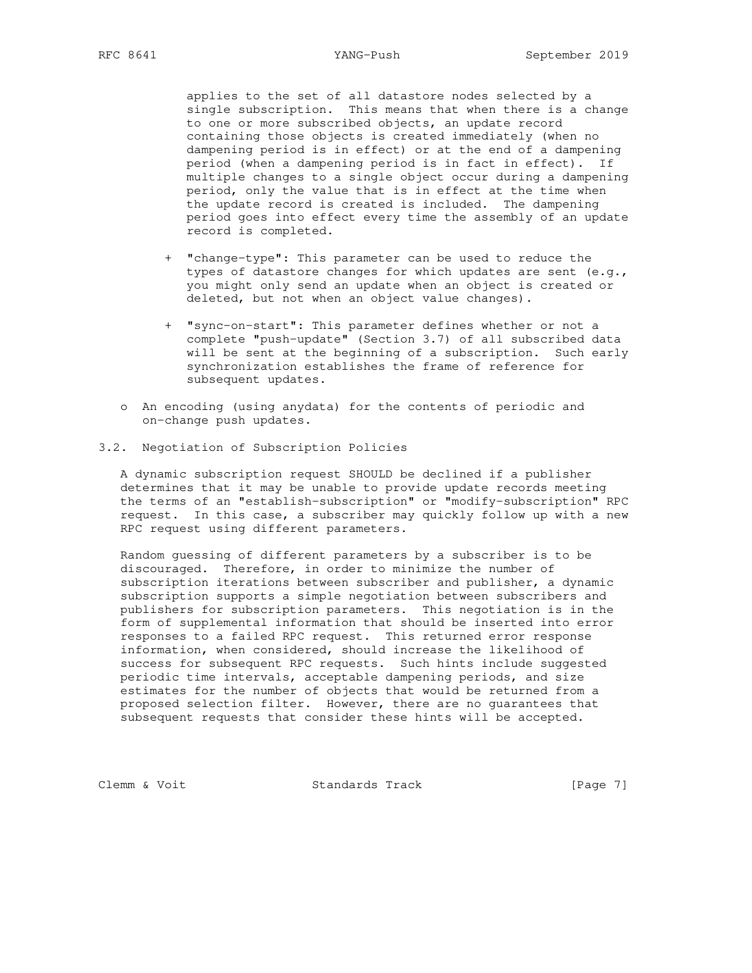applies to the set of all datastore nodes selected by a single subscription. This means that when there is a change to one or more subscribed objects, an update record containing those objects is created immediately (when no dampening period is in effect) or at the end of a dampening period (when a dampening period is in fact in effect). If multiple changes to a single object occur during a dampening period, only the value that is in effect at the time when the update record is created is included. The dampening period goes into effect every time the assembly of an update record is completed.

- + "change-type": This parameter can be used to reduce the types of datastore changes for which updates are sent (e.g., you might only send an update when an object is created or deleted, but not when an object value changes).
- + "sync-on-start": This parameter defines whether or not a complete "push-update" (Section 3.7) of all subscribed data will be sent at the beginning of a subscription. Such early synchronization establishes the frame of reference for subsequent updates.
- o An encoding (using anydata) for the contents of periodic and on-change push updates.
- 3.2. Negotiation of Subscription Policies

 A dynamic subscription request SHOULD be declined if a publisher determines that it may be unable to provide update records meeting the terms of an "establish-subscription" or "modify-subscription" RPC request. In this case, a subscriber may quickly follow up with a new RPC request using different parameters.

 Random guessing of different parameters by a subscriber is to be discouraged. Therefore, in order to minimize the number of subscription iterations between subscriber and publisher, a dynamic subscription supports a simple negotiation between subscribers and publishers for subscription parameters. This negotiation is in the form of supplemental information that should be inserted into error responses to a failed RPC request. This returned error response information, when considered, should increase the likelihood of success for subsequent RPC requests. Such hints include suggested periodic time intervals, acceptable dampening periods, and size estimates for the number of objects that would be returned from a proposed selection filter. However, there are no guarantees that subsequent requests that consider these hints will be accepted.

Clemm & Voit Standards Track [Page 7]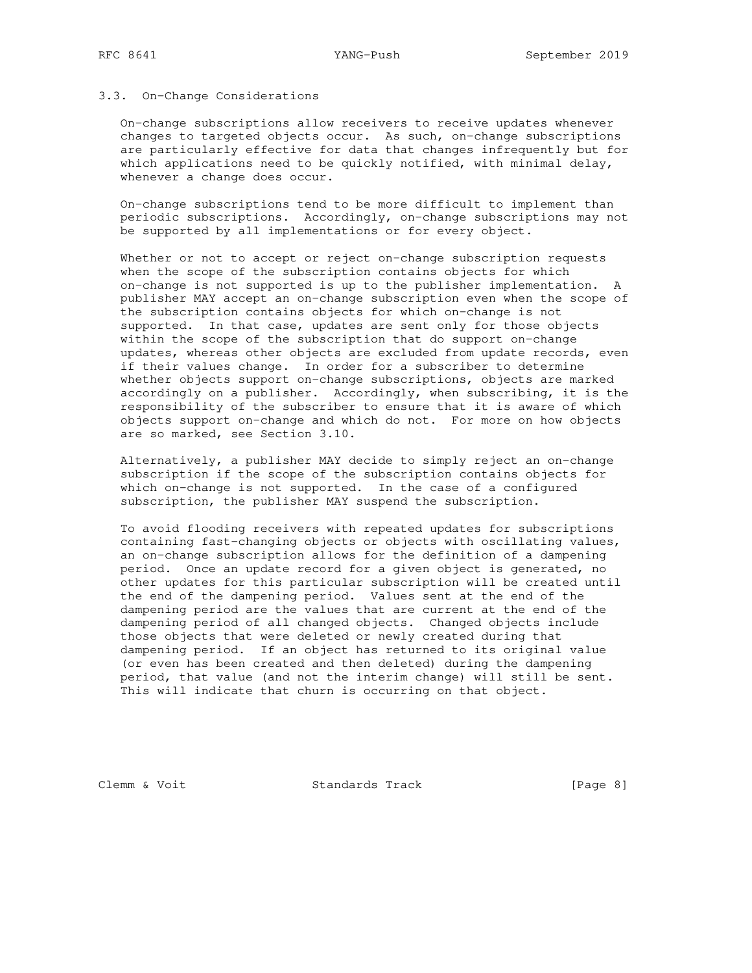### 3.3. On-Change Considerations

 On-change subscriptions allow receivers to receive updates whenever changes to targeted objects occur. As such, on-change subscriptions are particularly effective for data that changes infrequently but for which applications need to be quickly notified, with minimal delay, whenever a change does occur.

 On-change subscriptions tend to be more difficult to implement than periodic subscriptions. Accordingly, on-change subscriptions may not be supported by all implementations or for every object.

 Whether or not to accept or reject on-change subscription requests when the scope of the subscription contains objects for which on-change is not supported is up to the publisher implementation. A publisher MAY accept an on-change subscription even when the scope of the subscription contains objects for which on-change is not supported. In that case, updates are sent only for those objects within the scope of the subscription that do support on-change updates, whereas other objects are excluded from update records, even if their values change. In order for a subscriber to determine whether objects support on-change subscriptions, objects are marked accordingly on a publisher. Accordingly, when subscribing, it is the responsibility of the subscriber to ensure that it is aware of which objects support on-change and which do not. For more on how objects are so marked, see Section 3.10.

 Alternatively, a publisher MAY decide to simply reject an on-change subscription if the scope of the subscription contains objects for which on-change is not supported. In the case of a configured subscription, the publisher MAY suspend the subscription.

 To avoid flooding receivers with repeated updates for subscriptions containing fast-changing objects or objects with oscillating values, an on-change subscription allows for the definition of a dampening period. Once an update record for a given object is generated, no other updates for this particular subscription will be created until the end of the dampening period. Values sent at the end of the dampening period are the values that are current at the end of the dampening period of all changed objects. Changed objects include those objects that were deleted or newly created during that dampening period. If an object has returned to its original value (or even has been created and then deleted) during the dampening period, that value (and not the interim change) will still be sent. This will indicate that churn is occurring on that object.

Clemm & Voit Standards Track [Page 8]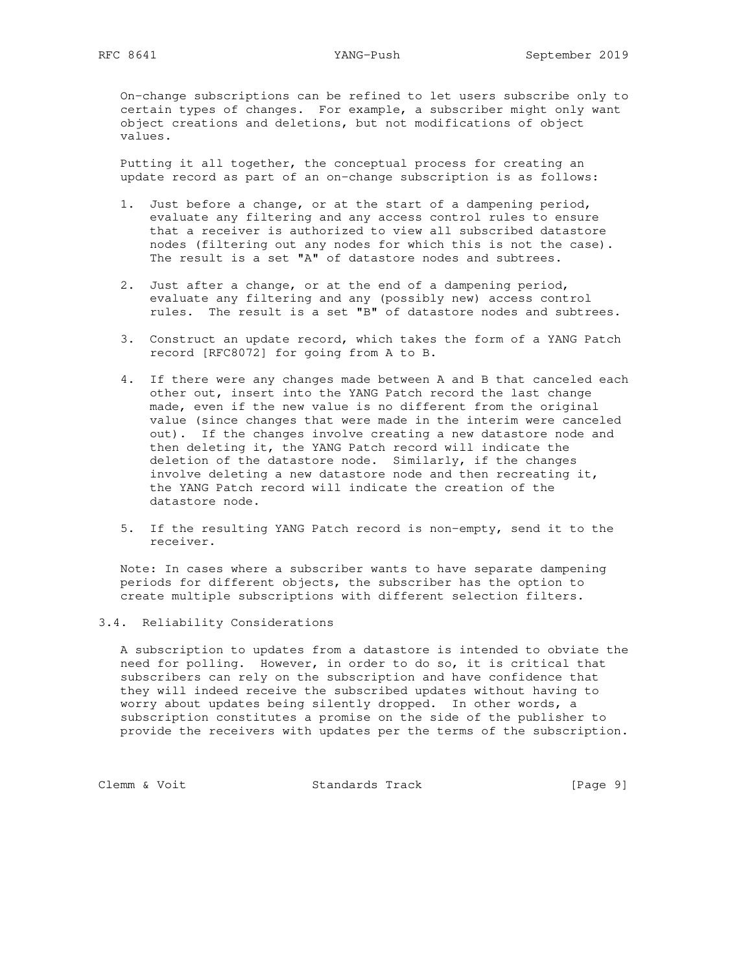On-change subscriptions can be refined to let users subscribe only to certain types of changes. For example, a subscriber might only want object creations and deletions, but not modifications of object values.

 Putting it all together, the conceptual process for creating an update record as part of an on-change subscription is as follows:

- 1. Just before a change, or at the start of a dampening period, evaluate any filtering and any access control rules to ensure that a receiver is authorized to view all subscribed datastore nodes (filtering out any nodes for which this is not the case). The result is a set "A" of datastore nodes and subtrees.
- 2. Just after a change, or at the end of a dampening period, evaluate any filtering and any (possibly new) access control rules. The result is a set "B" of datastore nodes and subtrees.
- 3. Construct an update record, which takes the form of a YANG Patch record [RFC8072] for going from A to B.
- 4. If there were any changes made between A and B that canceled each other out, insert into the YANG Patch record the last change made, even if the new value is no different from the original value (since changes that were made in the interim were canceled out). If the changes involve creating a new datastore node and then deleting it, the YANG Patch record will indicate the deletion of the datastore node. Similarly, if the changes involve deleting a new datastore node and then recreating it, the YANG Patch record will indicate the creation of the datastore node.
- 5. If the resulting YANG Patch record is non-empty, send it to the receiver.

 Note: In cases where a subscriber wants to have separate dampening periods for different objects, the subscriber has the option to create multiple subscriptions with different selection filters.

### 3.4. Reliability Considerations

 A subscription to updates from a datastore is intended to obviate the need for polling. However, in order to do so, it is critical that subscribers can rely on the subscription and have confidence that they will indeed receive the subscribed updates without having to worry about updates being silently dropped. In other words, a subscription constitutes a promise on the side of the publisher to provide the receivers with updates per the terms of the subscription.

Clemm & Voit Standards Track [Page 9]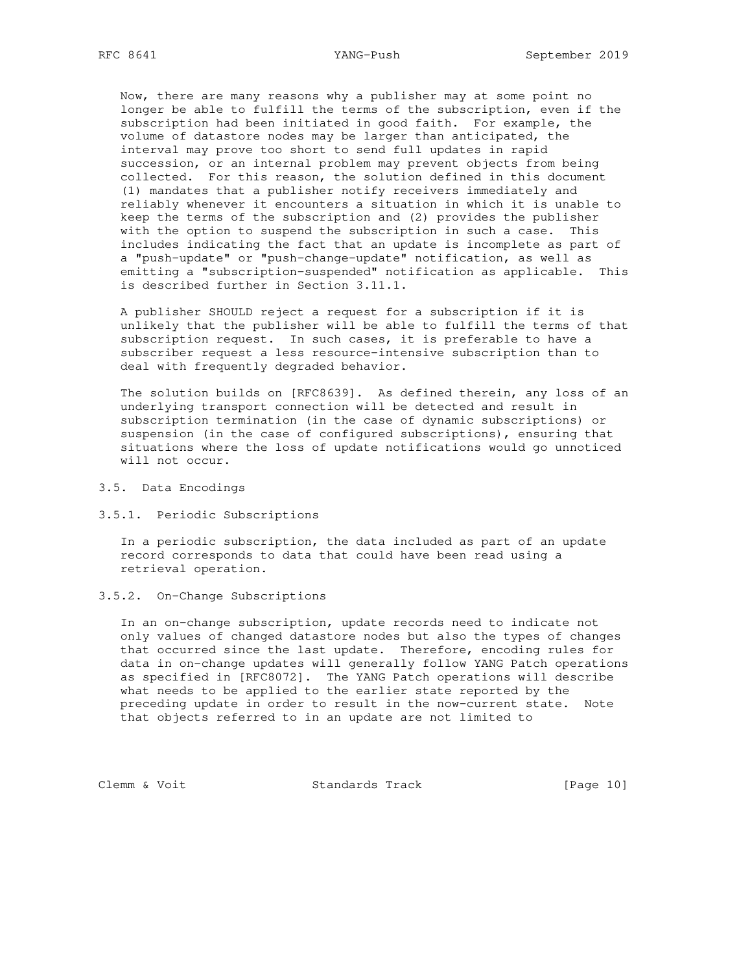Now, there are many reasons why a publisher may at some point no longer be able to fulfill the terms of the subscription, even if the subscription had been initiated in good faith. For example, the volume of datastore nodes may be larger than anticipated, the interval may prove too short to send full updates in rapid succession, or an internal problem may prevent objects from being collected. For this reason, the solution defined in this document (1) mandates that a publisher notify receivers immediately and reliably whenever it encounters a situation in which it is unable to keep the terms of the subscription and (2) provides the publisher with the option to suspend the subscription in such a case. This includes indicating the fact that an update is incomplete as part of a "push-update" or "push-change-update" notification, as well as emitting a "subscription-suspended" notification as applicable. This is described further in Section 3.11.1.

 A publisher SHOULD reject a request for a subscription if it is unlikely that the publisher will be able to fulfill the terms of that subscription request. In such cases, it is preferable to have a subscriber request a less resource-intensive subscription than to deal with frequently degraded behavior.

 The solution builds on [RFC8639]. As defined therein, any loss of an underlying transport connection will be detected and result in subscription termination (in the case of dynamic subscriptions) or suspension (in the case of configured subscriptions), ensuring that situations where the loss of update notifications would go unnoticed will not occur.

- 3.5. Data Encodings
- 3.5.1. Periodic Subscriptions

 In a periodic subscription, the data included as part of an update record corresponds to data that could have been read using a retrieval operation.

3.5.2. On-Change Subscriptions

 In an on-change subscription, update records need to indicate not only values of changed datastore nodes but also the types of changes that occurred since the last update. Therefore, encoding rules for data in on-change updates will generally follow YANG Patch operations as specified in [RFC8072]. The YANG Patch operations will describe what needs to be applied to the earlier state reported by the preceding update in order to result in the now-current state. Note that objects referred to in an update are not limited to

Clemm & Voit Standards Track [Page 10]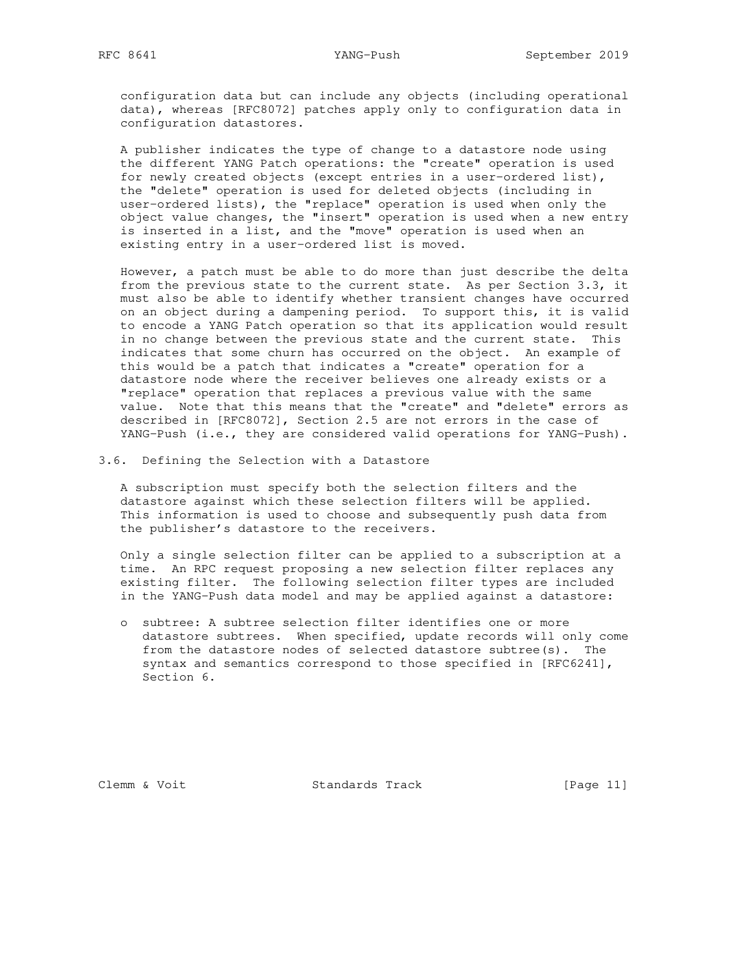configuration data but can include any objects (including operational data), whereas [RFC8072] patches apply only to configuration data in configuration datastores.

 A publisher indicates the type of change to a datastore node using the different YANG Patch operations: the "create" operation is used for newly created objects (except entries in a user-ordered list), the "delete" operation is used for deleted objects (including in user-ordered lists), the "replace" operation is used when only the object value changes, the "insert" operation is used when a new entry is inserted in a list, and the "move" operation is used when an existing entry in a user-ordered list is moved.

 However, a patch must be able to do more than just describe the delta from the previous state to the current state. As per Section 3.3, it must also be able to identify whether transient changes have occurred on an object during a dampening period. To support this, it is valid to encode a YANG Patch operation so that its application would result in no change between the previous state and the current state. This indicates that some churn has occurred on the object. An example of this would be a patch that indicates a "create" operation for a datastore node where the receiver believes one already exists or a "replace" operation that replaces a previous value with the same value. Note that this means that the "create" and "delete" errors as described in [RFC8072], Section 2.5 are not errors in the case of YANG-Push (i.e., they are considered valid operations for YANG-Push).

3.6. Defining the Selection with a Datastore

 A subscription must specify both the selection filters and the datastore against which these selection filters will be applied. This information is used to choose and subsequently push data from the publisher's datastore to the receivers.

 Only a single selection filter can be applied to a subscription at a time. An RPC request proposing a new selection filter replaces any existing filter. The following selection filter types are included in the YANG-Push data model and may be applied against a datastore:

 o subtree: A subtree selection filter identifies one or more datastore subtrees. When specified, update records will only come from the datastore nodes of selected datastore subtree(s). The syntax and semantics correspond to those specified in [RFC6241], Section 6.

Clemm & Voit Standards Track [Page 11]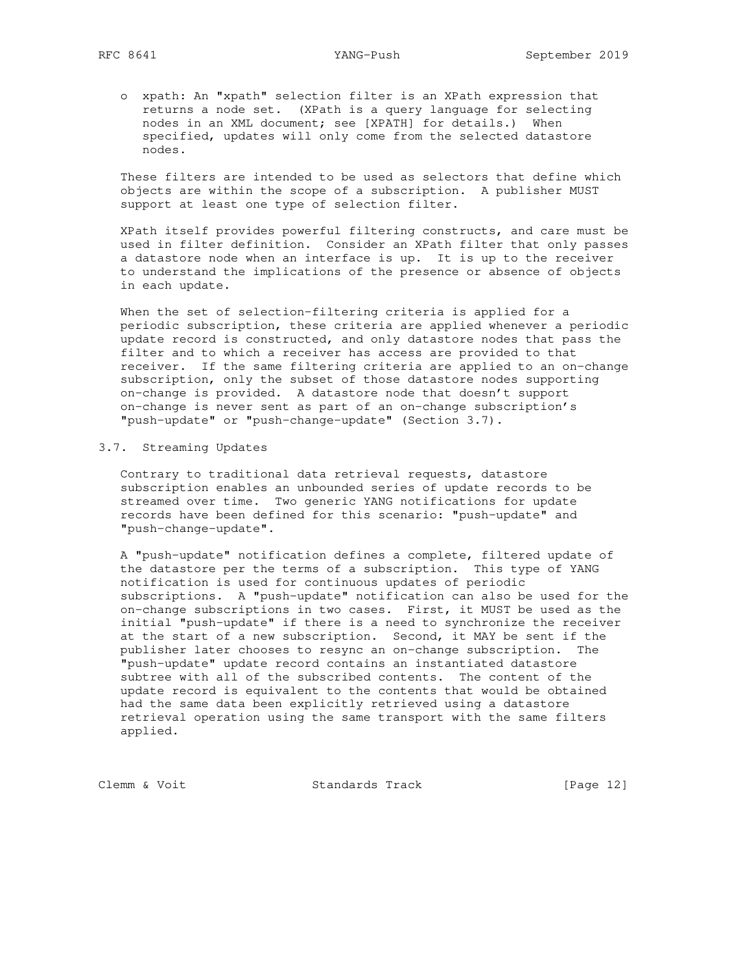o xpath: An "xpath" selection filter is an XPath expression that returns a node set. (XPath is a query language for selecting nodes in an XML document; see [XPATH] for details.) When specified, updates will only come from the selected datastore nodes.

 These filters are intended to be used as selectors that define which objects are within the scope of a subscription. A publisher MUST support at least one type of selection filter.

 XPath itself provides powerful filtering constructs, and care must be used in filter definition. Consider an XPath filter that only passes a datastore node when an interface is up. It is up to the receiver to understand the implications of the presence or absence of objects in each update.

 When the set of selection-filtering criteria is applied for a periodic subscription, these criteria are applied whenever a periodic update record is constructed, and only datastore nodes that pass the filter and to which a receiver has access are provided to that receiver. If the same filtering criteria are applied to an on-change subscription, only the subset of those datastore nodes supporting on-change is provided. A datastore node that doesn't support on-change is never sent as part of an on-change subscription's "push-update" or "push-change-update" (Section 3.7).

## 3.7. Streaming Updates

 Contrary to traditional data retrieval requests, datastore subscription enables an unbounded series of update records to be streamed over time. Two generic YANG notifications for update records have been defined for this scenario: "push-update" and "push-change-update".

 A "push-update" notification defines a complete, filtered update of the datastore per the terms of a subscription. This type of YANG notification is used for continuous updates of periodic subscriptions. A "push-update" notification can also be used for the on-change subscriptions in two cases. First, it MUST be used as the initial "push-update" if there is a need to synchronize the receiver at the start of a new subscription. Second, it MAY be sent if the publisher later chooses to resync an on-change subscription. The "push-update" update record contains an instantiated datastore subtree with all of the subscribed contents. The content of the update record is equivalent to the contents that would be obtained had the same data been explicitly retrieved using a datastore retrieval operation using the same transport with the same filters applied.

Clemm & Voit Standards Track [Page 12]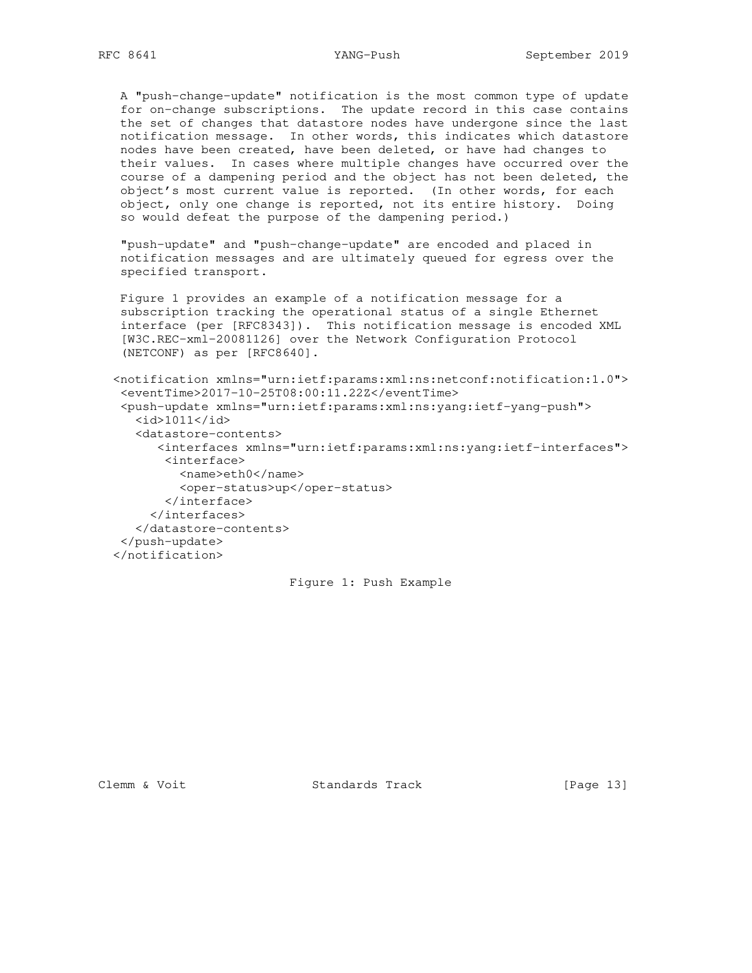A "push-change-update" notification is the most common type of update for on-change subscriptions. The update record in this case contains the set of changes that datastore nodes have undergone since the last notification message. In other words, this indicates which datastore nodes have been created, have been deleted, or have had changes to their values. In cases where multiple changes have occurred over the course of a dampening period and the object has not been deleted, the object's most current value is reported. (In other words, for each object, only one change is reported, not its entire history. Doing so would defeat the purpose of the dampening period.)

 "push-update" and "push-change-update" are encoded and placed in notification messages and are ultimately queued for egress over the specified transport.

 Figure 1 provides an example of a notification message for a subscription tracking the operational status of a single Ethernet interface (per [RFC8343]). This notification message is encoded XML [W3C.REC-xml-20081126] over the Network Configuration Protocol (NETCONF) as per [RFC8640].

 <notification xmlns="urn:ietf:params:xml:ns:netconf:notification:1.0"> <eventTime>2017-10-25T08:00:11.22Z</eventTime> <push-update xmlns="urn:ietf:params:xml:ns:yang:ietf-yang-push"> <id>1011</id> <datastore-contents> <interfaces xmlns="urn:ietf:params:xml:ns:yang:ietf-interfaces"> <interface> <name>eth0</name> <oper-status>up</oper-status> </interface> </interfaces> </datastore-contents> </push-update> </notification>

## Figure 1: Push Example

Clemm & Voit Standards Track [Page 13]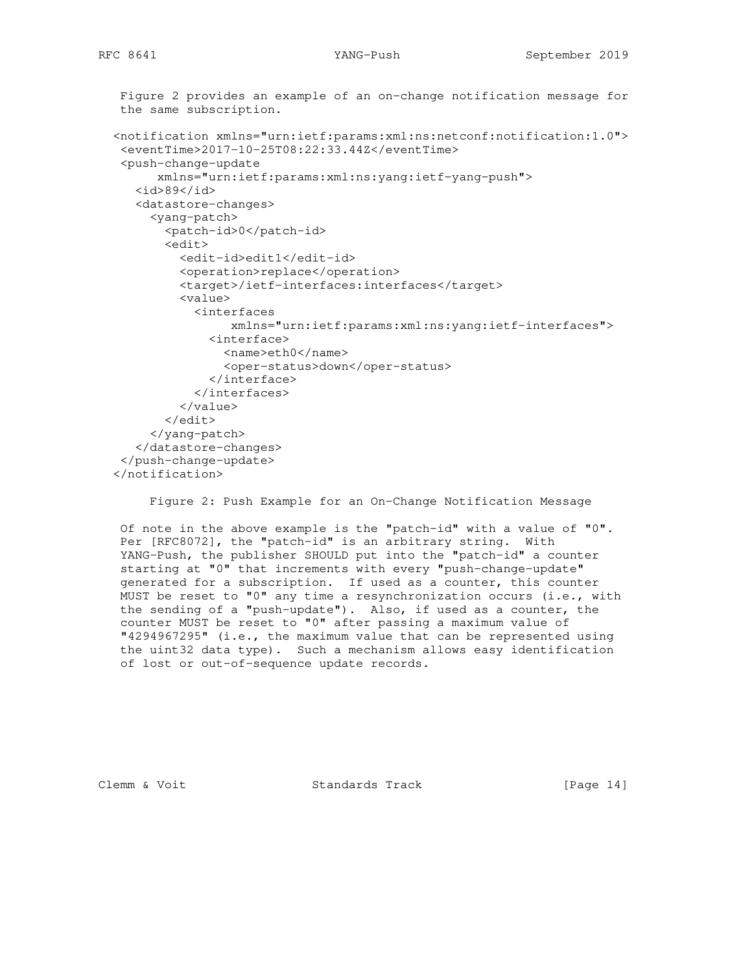```
 Figure 2 provides an example of an on-change notification message for
 the same subscription.
 <notification xmlns="urn:ietf:params:xml:ns:netconf:notification:1.0">
  <eventTime>2017-10-25T08:22:33.44Z</eventTime>
  <push-change-update
       xmlns="urn:ietf:params:xml:ns:yang:ietf-yang-push">
    <id>89</id>
    <datastore-changes>
      <yang-patch>
        <patch-id>0</patch-id>
        <edit>
          <edit-id>edit1</edit-id>
          <operation>replace</operation>
          <target>/ietf-interfaces:interfaces</target>
          <value>
            <interfaces
                 xmlns="urn:ietf:params:xml:ns:yang:ietf-interfaces">
              <interface>
                <name>eth0</name>
                <oper-status>down</oper-status>
              </interface>
            </interfaces>
          </value>
        </edit>
      </yang-patch>
    </datastore-changes>
  </push-change-update>
 </notification>
```
Figure 2: Push Example for an On-Change Notification Message

 Of note in the above example is the "patch-id" with a value of "0". Per [RFC8072], the "patch-id" is an arbitrary string. With YANG-Push, the publisher SHOULD put into the "patch-id" a counter starting at "0" that increments with every "push-change-update" generated for a subscription. If used as a counter, this counter MUST be reset to "0" any time a resynchronization occurs (i.e., with the sending of a "push-update"). Also, if used as a counter, the counter MUST be reset to "0" after passing a maximum value of "4294967295" (i.e., the maximum value that can be represented using the uint32 data type). Such a mechanism allows easy identification of lost or out-of-sequence update records.

Clemm & Voit **Standards Track** [Page 14]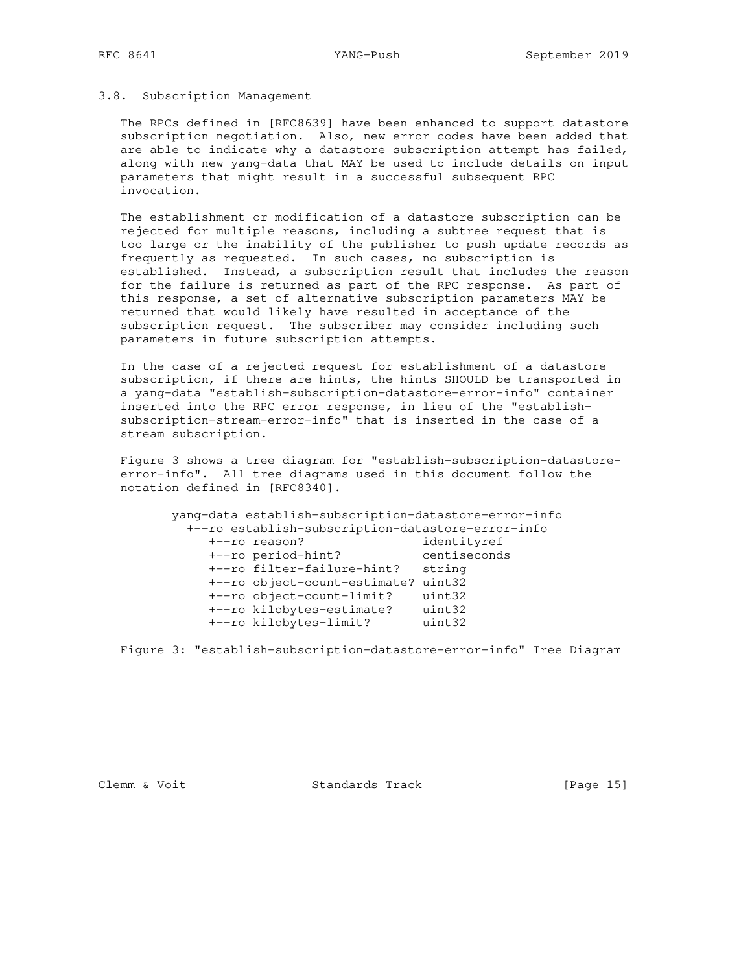### 3.8. Subscription Management

 The RPCs defined in [RFC8639] have been enhanced to support datastore subscription negotiation. Also, new error codes have been added that are able to indicate why a datastore subscription attempt has failed, along with new yang-data that MAY be used to include details on input parameters that might result in a successful subsequent RPC invocation.

 The establishment or modification of a datastore subscription can be rejected for multiple reasons, including a subtree request that is too large or the inability of the publisher to push update records as frequently as requested. In such cases, no subscription is established. Instead, a subscription result that includes the reason for the failure is returned as part of the RPC response. As part of this response, a set of alternative subscription parameters MAY be returned that would likely have resulted in acceptance of the subscription request. The subscriber may consider including such parameters in future subscription attempts.

 In the case of a rejected request for establishment of a datastore subscription, if there are hints, the hints SHOULD be transported in a yang-data "establish-subscription-datastore-error-info" container inserted into the RPC error response, in lieu of the "establish subscription-stream-error-info" that is inserted in the case of a stream subscription.

 Figure 3 shows a tree diagram for "establish-subscription-datastore error-info". All tree diagrams used in this document follow the notation defined in [RFC8340].

 yang-data establish-subscription-datastore-error-info +--ro establish-subscription-datastore-error-info +--ro reason? identityref +--ro period-hint? centiseconds +--ro filter-failure-hint? string +--ro object-count-estimate? uint32 +--ro object-count-limit? uint32 +--ro kilobytes-estimate? uint32 +--ro kilobytes-limit? uint32

Figure 3: "establish-subscription-datastore-error-info" Tree Diagram

Clemm & Voit Standards Track [Page 15]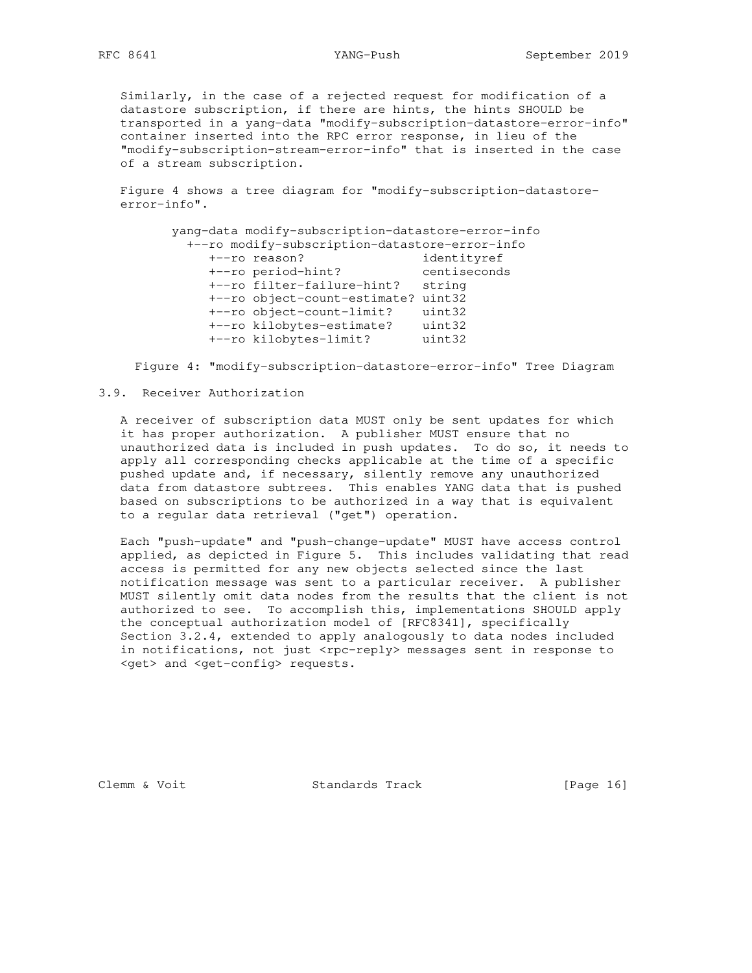Similarly, in the case of a rejected request for modification of a datastore subscription, if there are hints, the hints SHOULD be transported in a yang-data "modify-subscription-datastore-error-info" container inserted into the RPC error response, in lieu of the "modify-subscription-stream-error-info" that is inserted in the case of a stream subscription.

 Figure 4 shows a tree diagram for "modify-subscription-datastore error-info".

 yang-data modify-subscription-datastore-error-info +--ro modify-subscription-datastore-error-info +--ro reason? identityref +--ro period-hint? centiseconds +--ro filter-failure-hint? string +--ro object-count-estimate? uint32 +--ro object-count-limit? uint32 +--ro kilobytes-estimate? uint32 +--ro kilobytes-limit? uint32

Figure 4: "modify-subscription-datastore-error-info" Tree Diagram

### 3.9. Receiver Authorization

 A receiver of subscription data MUST only be sent updates for which it has proper authorization. A publisher MUST ensure that no unauthorized data is included in push updates. To do so, it needs to apply all corresponding checks applicable at the time of a specific pushed update and, if necessary, silently remove any unauthorized data from datastore subtrees. This enables YANG data that is pushed based on subscriptions to be authorized in a way that is equivalent to a regular data retrieval ("get") operation.

 Each "push-update" and "push-change-update" MUST have access control applied, as depicted in Figure 5. This includes validating that read access is permitted for any new objects selected since the last notification message was sent to a particular receiver. A publisher MUST silently omit data nodes from the results that the client is not authorized to see. To accomplish this, implementations SHOULD apply the conceptual authorization model of [RFC8341], specifically Section 3.2.4, extended to apply analogously to data nodes included in notifications, not just <rpc-reply> messages sent in response to <get> and <get-config> requests.

Clemm & Voit **Standards Track** [Page 16]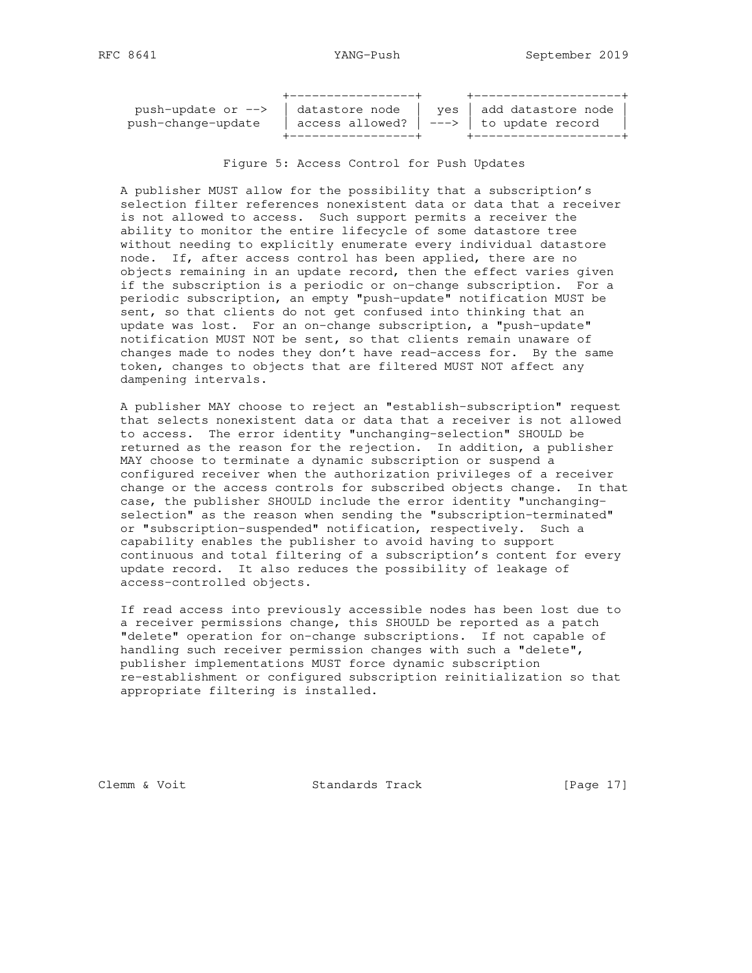| push-update or --> | datastore node | yes   add datastore node                      |
|--------------------|----------------|-----------------------------------------------|
| push-change-update |                | access allowed? $ $ ---> $ $ to update record |
|                    |                |                                               |

Figure 5: Access Control for Push Updates

 A publisher MUST allow for the possibility that a subscription's selection filter references nonexistent data or data that a receiver is not allowed to access. Such support permits a receiver the ability to monitor the entire lifecycle of some datastore tree without needing to explicitly enumerate every individual datastore node. If, after access control has been applied, there are no objects remaining in an update record, then the effect varies given if the subscription is a periodic or on-change subscription. For a periodic subscription, an empty "push-update" notification MUST be sent, so that clients do not get confused into thinking that an update was lost. For an on-change subscription, a "push-update" notification MUST NOT be sent, so that clients remain unaware of changes made to nodes they don't have read-access for. By the same token, changes to objects that are filtered MUST NOT affect any dampening intervals.

 A publisher MAY choose to reject an "establish-subscription" request that selects nonexistent data or data that a receiver is not allowed to access. The error identity "unchanging-selection" SHOULD be returned as the reason for the rejection. In addition, a publisher MAY choose to terminate a dynamic subscription or suspend a configured receiver when the authorization privileges of a receiver change or the access controls for subscribed objects change. In that case, the publisher SHOULD include the error identity "unchanging selection" as the reason when sending the "subscription-terminated" or "subscription-suspended" notification, respectively. Such a capability enables the publisher to avoid having to support continuous and total filtering of a subscription's content for every update record. It also reduces the possibility of leakage of access-controlled objects.

 If read access into previously accessible nodes has been lost due to a receiver permissions change, this SHOULD be reported as a patch "delete" operation for on-change subscriptions. If not capable of handling such receiver permission changes with such a "delete", publisher implementations MUST force dynamic subscription re-establishment or configured subscription reinitialization so that appropriate filtering is installed.

Clemm & Voit Standards Track [Page 17]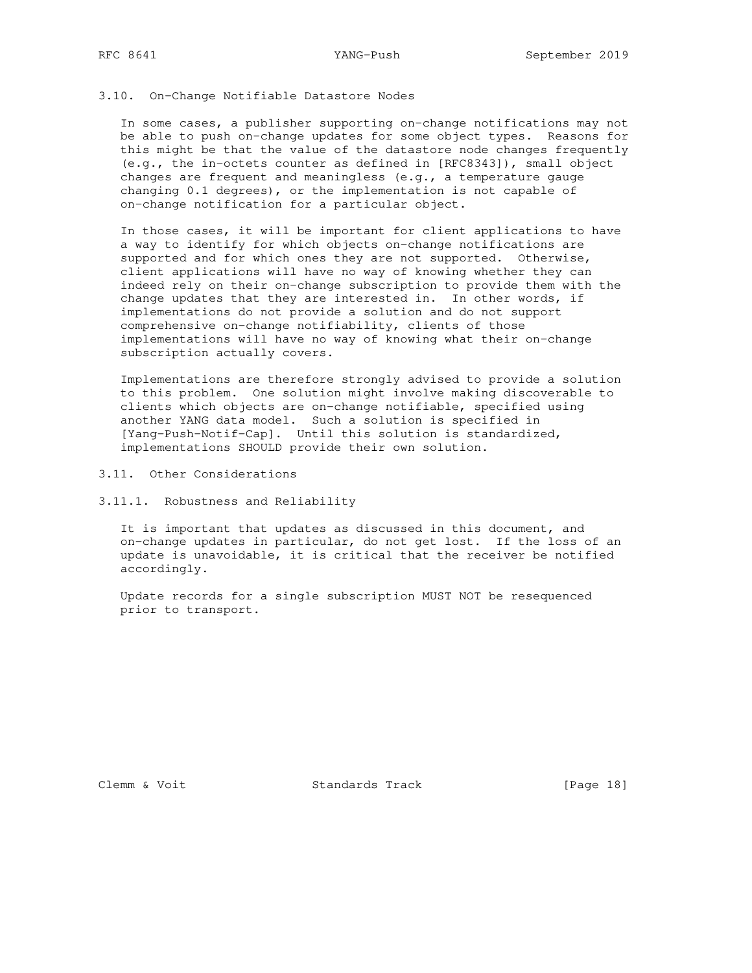### 3.10. On-Change Notifiable Datastore Nodes

 In some cases, a publisher supporting on-change notifications may not be able to push on-change updates for some object types. Reasons for this might be that the value of the datastore node changes frequently (e.g., the in-octets counter as defined in [RFC8343]), small object changes are frequent and meaningless (e.g., a temperature gauge changing 0.1 degrees), or the implementation is not capable of on-change notification for a particular object.

 In those cases, it will be important for client applications to have a way to identify for which objects on-change notifications are supported and for which ones they are not supported. Otherwise, client applications will have no way of knowing whether they can indeed rely on their on-change subscription to provide them with the change updates that they are interested in. In other words, if implementations do not provide a solution and do not support comprehensive on-change notifiability, clients of those implementations will have no way of knowing what their on-change subscription actually covers.

 Implementations are therefore strongly advised to provide a solution to this problem. One solution might involve making discoverable to clients which objects are on-change notifiable, specified using another YANG data model. Such a solution is specified in [Yang-Push-Notif-Cap]. Until this solution is standardized, implementations SHOULD provide their own solution.

3.11. Other Considerations

3.11.1. Robustness and Reliability

 It is important that updates as discussed in this document, and on-change updates in particular, do not get lost. If the loss of an update is unavoidable, it is critical that the receiver be notified accordingly.

 Update records for a single subscription MUST NOT be resequenced prior to transport.

Clemm & Voit Standards Track [Page 18]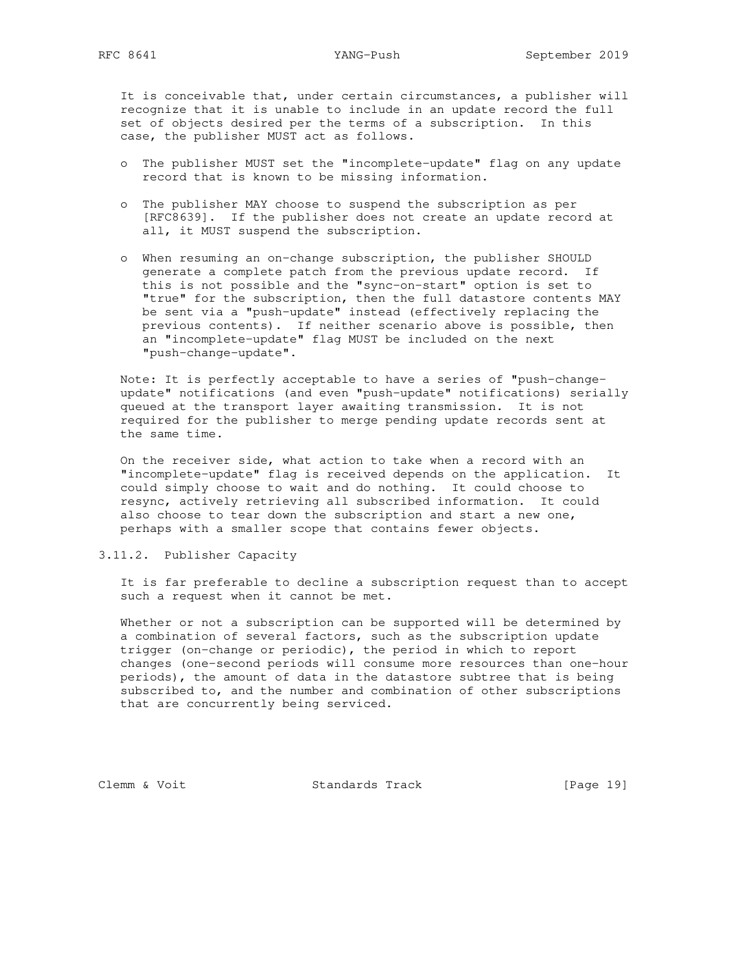RFC 8641 YANG-Push September 2019

 It is conceivable that, under certain circumstances, a publisher will recognize that it is unable to include in an update record the full set of objects desired per the terms of a subscription. In this case, the publisher MUST act as follows.

- o The publisher MUST set the "incomplete-update" flag on any update record that is known to be missing information.
- o The publisher MAY choose to suspend the subscription as per [RFC8639]. If the publisher does not create an update record at all, it MUST suspend the subscription.
- o When resuming an on-change subscription, the publisher SHOULD generate a complete patch from the previous update record. If this is not possible and the "sync-on-start" option is set to "true" for the subscription, then the full datastore contents MAY be sent via a "push-update" instead (effectively replacing the previous contents). If neither scenario above is possible, then an "incomplete-update" flag MUST be included on the next "push-change-update".

 Note: It is perfectly acceptable to have a series of "push-change update" notifications (and even "push-update" notifications) serially queued at the transport layer awaiting transmission. It is not required for the publisher to merge pending update records sent at the same time.

 On the receiver side, what action to take when a record with an "incomplete-update" flag is received depends on the application. It could simply choose to wait and do nothing. It could choose to resync, actively retrieving all subscribed information. It could also choose to tear down the subscription and start a new one, perhaps with a smaller scope that contains fewer objects.

3.11.2. Publisher Capacity

 It is far preferable to decline a subscription request than to accept such a request when it cannot be met.

 Whether or not a subscription can be supported will be determined by a combination of several factors, such as the subscription update trigger (on-change or periodic), the period in which to report changes (one-second periods will consume more resources than one-hour periods), the amount of data in the datastore subtree that is being subscribed to, and the number and combination of other subscriptions that are concurrently being serviced.

Clemm & Voit Standards Track [Page 19]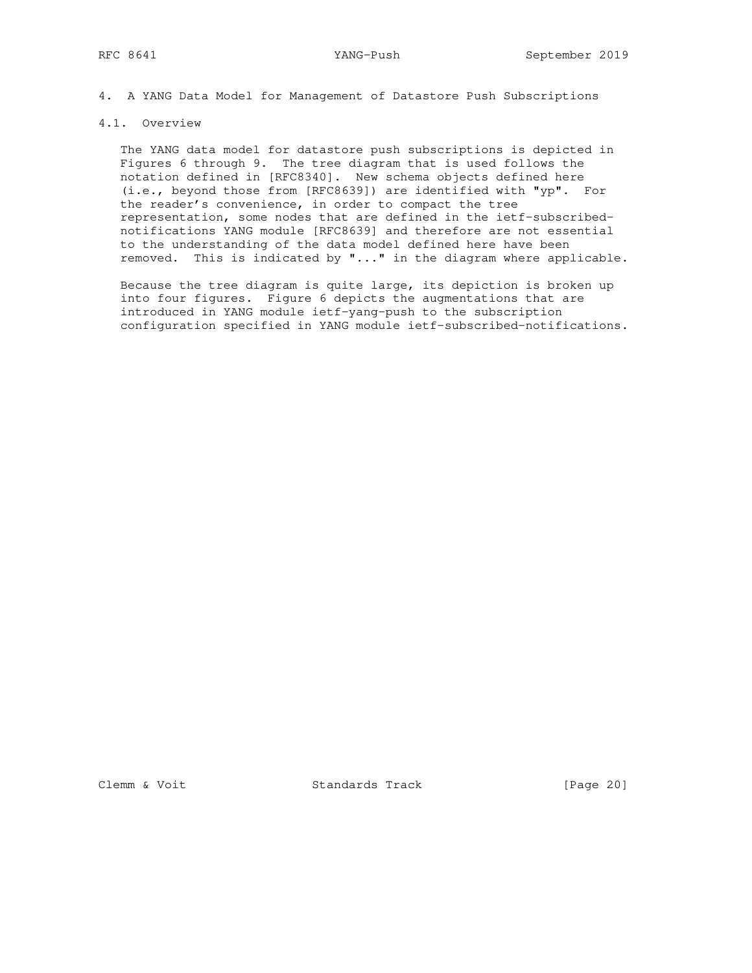4. A YANG Data Model for Management of Datastore Push Subscriptions

## 4.1. Overview

 The YANG data model for datastore push subscriptions is depicted in Figures 6 through 9. The tree diagram that is used follows the notation defined in [RFC8340]. New schema objects defined here (i.e., beyond those from [RFC8639]) are identified with "yp". For the reader's convenience, in order to compact the tree representation, some nodes that are defined in the ietf-subscribed notifications YANG module [RFC8639] and therefore are not essential to the understanding of the data model defined here have been removed. This is indicated by "..." in the diagram where applicable.

 Because the tree diagram is quite large, its depiction is broken up into four figures. Figure 6 depicts the augmentations that are introduced in YANG module ietf-yang-push to the subscription configuration specified in YANG module ietf-subscribed-notifications.

Clemm & Voit Standards Track [Page 20]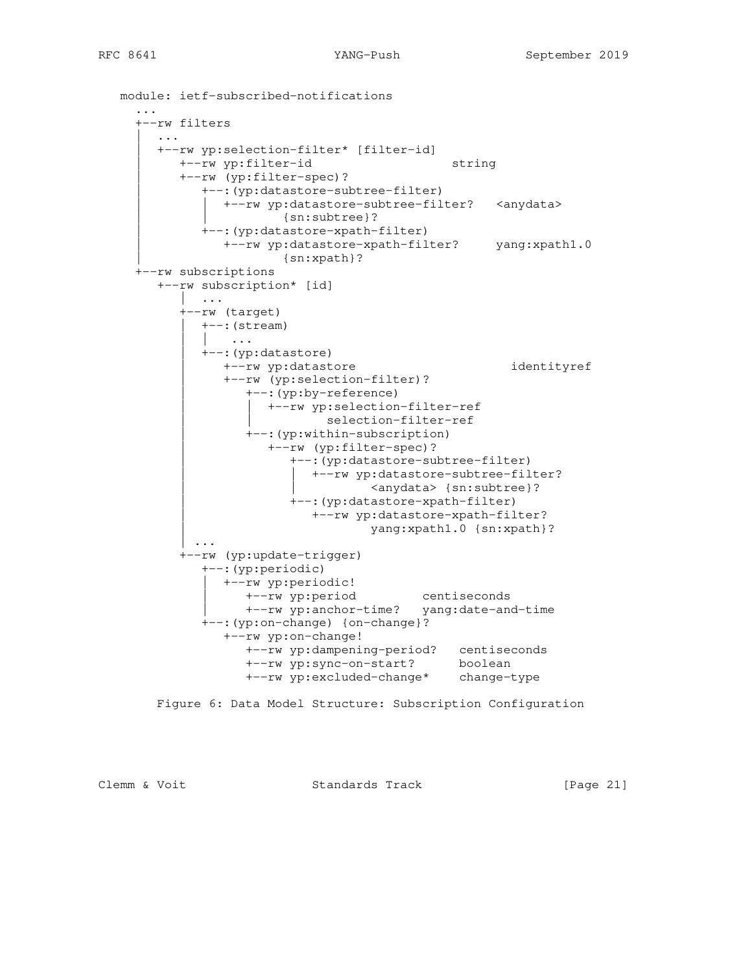```
 module: ietf-subscribed-notifications
      ...
      +--rw filters
        | ...
        | +--rw yp:selection-filter* [filter-id]
           | +--rw yp:filter-id string
           | +--rw (yp:filter-spec)?
               | +--:(yp:datastore-subtree-filter)
               | | +--rw yp:datastore-subtree-filter? <anydata>
                        | | {sn:subtree}?
               | +--:(yp:datastore-xpath-filter)
                 | +--rw yp:datastore-xpath-filter? yang:xpath1.0
                          | {sn:xpath}?
     +--rw subscriptions
        +--rw subscription* [id]
           \| \cdot \cdot \cdot \cdot \| +--rw (target)
              | +--:(stream)
                  | | ...
               | +--:(yp:datastore)
                 | +--rw yp:datastore identityref
                  | +--rw (yp:selection-filter)?
                     | +--:(yp:by-reference)
                      | | +--rw yp:selection-filter-ref
                              selection-filter-ref
                     | +--:(yp:within-subscription)
                        | +--rw (yp:filter-spec)?
                           | +--:(yp:datastore-subtree-filter)
                            | | +--rw yp:datastore-subtree-filter?
                                     <anydata> {sn:subtree}?
                          | +--:(yp:datastore-xpath-filter)
                             | +--rw yp:datastore-xpath-filter?
                                      | yang:xpath1.0 {sn:xpath}?
             | ...
            +--rw (yp:update-trigger)
               +--:(yp:periodic)
                | +--rw yp:periodic!
 | +--rw yp:period centiseconds
 | +--rw yp:anchor-time? yang:date-and-time
               +--:(yp:on-change) {on-change}?
                  +--rw yp:on-change!
                    +--rw yp:dampening-period? centiseconds
                     +--rw yp:sync-on-start? boolean
                     +--rw yp:excluded-change* change-type
        Figure 6: Data Model Structure: Subscription Configuration
```
Clemm & Voit Standards Track [Page 21]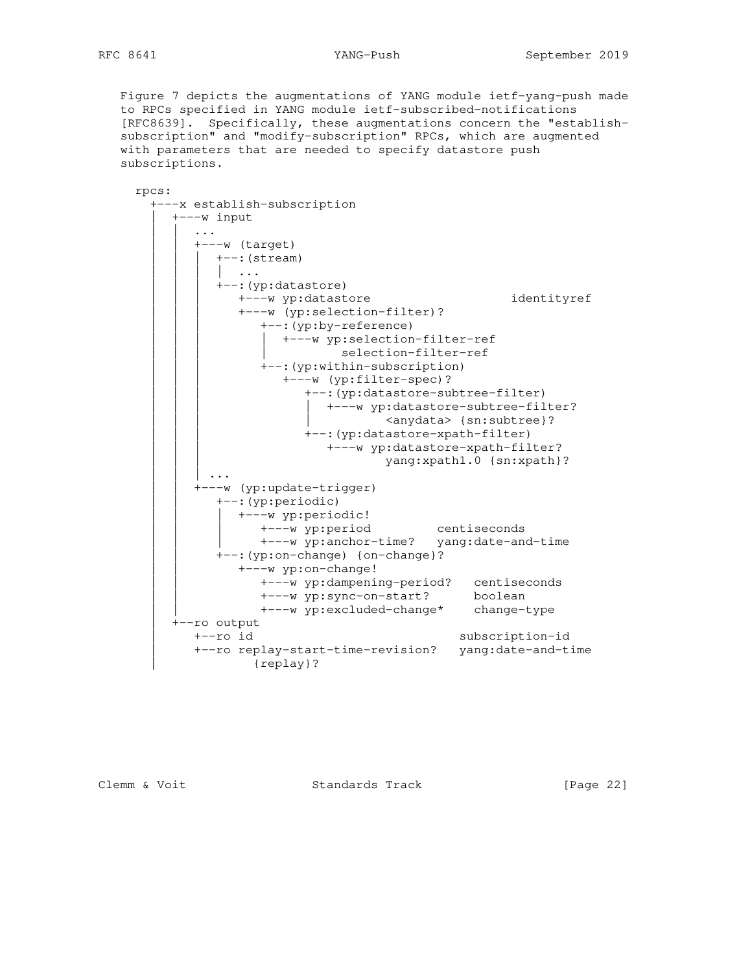Figure 7 depicts the augmentations of YANG module ietf-yang-push made to RPCs specified in YANG module ietf-subscribed-notifications [RFC8639]. Specifically, these augmentations concern the "establish subscription" and "modify-subscription" RPCs, which are augmented with parameters that are needed to specify datastore push subscriptions.

rpcs:

```
 +---x establish-subscription
         | +---w input
             | | ...
            +---w (target)
              +--: (stream)
               | \cdot | ...
               +--: (yp:datastore)
                   | | | +---w yp:datastore identityref
                   | | | +---w (yp:selection-filter)?
                     +--: (yp:by-reference)
                      | +--w yp:selection-filter-ref
                               selection-filter-ref
                     +--: (yp:within-subscription)
                        +---w (yp:filter-spec)?
                           +--: (yp:datastore-subtree-filter)
                              | | | | +---w yp:datastore-subtree-filter?
                                <anydata> {sn:subtree}?
                            | | | +--:(yp:datastore-xpath-filter)
                               | | | +---w yp:datastore-xpath-filter?
                                      yang:xpath1.0 {sn:xpath}?
              | | | ...
            +---w (yp:update-trigger)
                | | +--:(yp:periodic)
                  | | | +---w yp:periodic!
                     | | | +---w yp:period centiseconds
                     | | | +---w yp:anchor-time? yang:date-and-time
                | | +--:(yp:on-change) {on-change}?
                   | | +---w yp:on-change!
 | | +---w yp:dampening-period? centiseconds
 | | +---w yp:sync-on-start? boolean
 | | +---w yp:excluded-change* change-type
          | +--ro output
             | +--ro id subscription-id
             | +--ro replay-start-time-revision? yang:date-and-time
                     | {replay}?
```
Clemm & Voit **Standards Track** [Page 22]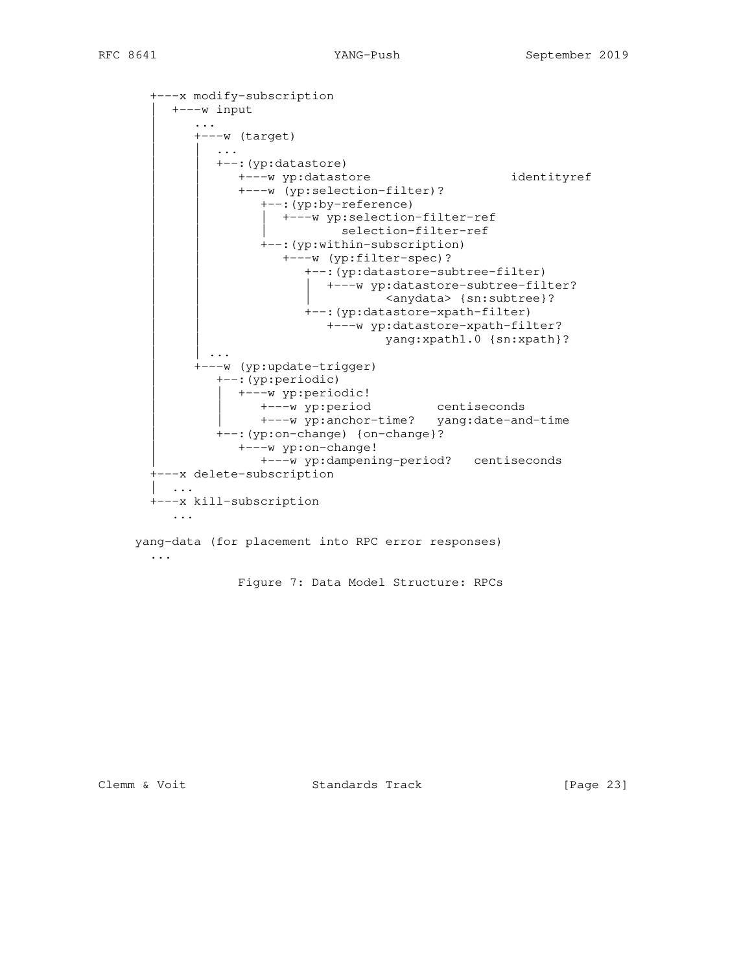```
 +---x modify-subscription
      | +---w input
         | ...
        +---w (target)
            | | ...
           | | +--:(yp:datastore)
               | | +---w yp:datastore identityref
               | | +---w (yp:selection-filter)?
                   | | +--:(yp:by-reference)
                  | +---w yp:selection-filter-ref
                            selection-filter-ref
                  +--: (yp:within-subscription)
                      | | +---w (yp:filter-spec)?
                         | | +--:(yp:datastore-subtree-filter)
                         | +---w yp:datastore-subtree-filter?
                              <anydata> {sn:subtree}?
                        +--: (yp:datastore-xpath-filter)
                           | | +---w yp:datastore-xpath-filter?
                                    yang:xpath1.0 {sn:xpath}?
          | | ...
         | +---w (yp:update-trigger)
            | +--:(yp:periodic)
              | | +---w yp:periodic!
                  | | +---w yp:period centiseconds
                 | | +---w yp:anchor-time? yang:date-and-time
            | +--:(yp:on-change) {on-change}?
                | +---w yp:on-change!
                   | +---w yp:dampening-period? centiseconds
   +---x delete-subscription
    | ...
   +---x kill-subscription
      ...
 yang-data (for placement into RPC error responses)
   ...
```
Figure 7: Data Model Structure: RPCs

Clemm & Voit Standards Track [Page 23]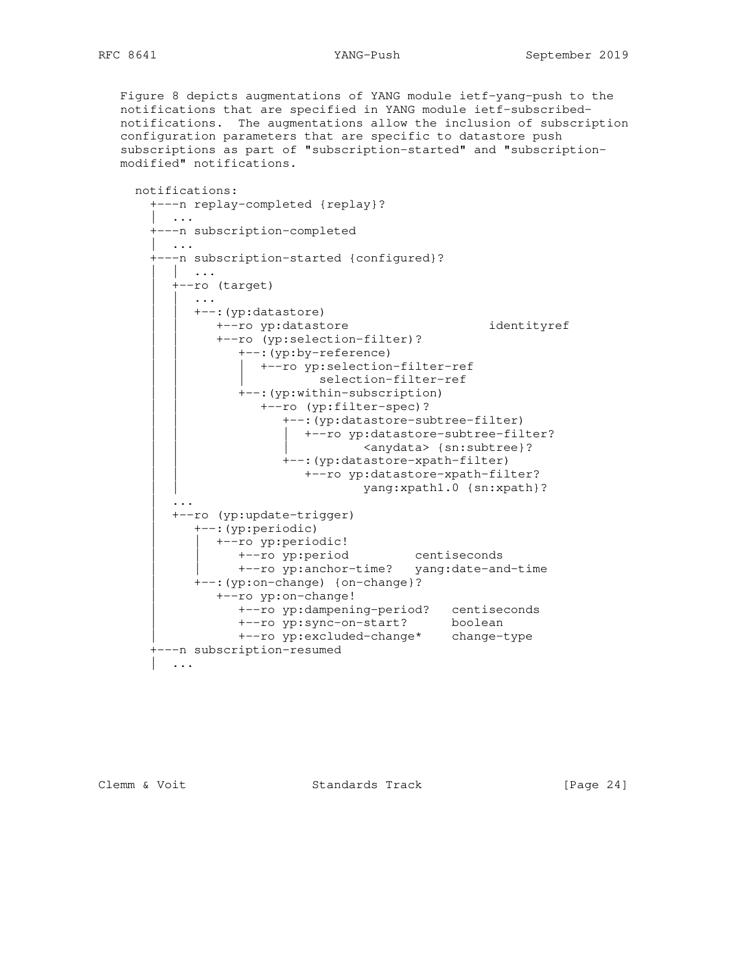Figure 8 depicts augmentations of YANG module ietf-yang-push to the notifications that are specified in YANG module ietf-subscribed notifications. The augmentations allow the inclusion of subscription configuration parameters that are specific to datastore push subscriptions as part of "subscription-started" and "subscription modified" notifications.

 notifications: +---n replay-completed {replay}? | ... +---n subscription-completed | ... +---n subscription-started {configured}? | | ... | +--ro (target) | | ... +--: (yp:datastore) | | +--ro yp:datastore identityref +--ro (yp:selection-filter)? +--: (yp:by-reference) | +--ro yp:selection-filter-ref selection-filter-ref +--: (yp:within-subscription) | | +--ro (yp:filter-spec)? | | +--:(yp:datastore-subtree-filter) | | | +--ro yp:datastore-subtree-filter? <anydata> {sn:subtree}? | | +--:(yp:datastore-xpath-filter) | | +--ro yp:datastore-xpath-filter? yang:xpath1.0 {sn:xpath}? | .... | .... | +--ro (yp:update-trigger) | +--:(yp:periodic) | | +--ro yp:periodic! | | +--ro yp:period centiseconds | | +--ro yp:anchor-time? yang:date-and-time | +--:(yp:on-change) {on-change}? | +--ro yp:on-change! | +--ro yp:dampening-period? centiseconds | +--ro yp:sync-on-start? boolean | +--ro yp:excluded-change\* change-type +---n subscription-resumed | ...

Clemm & Voit Standards Track [Page 24]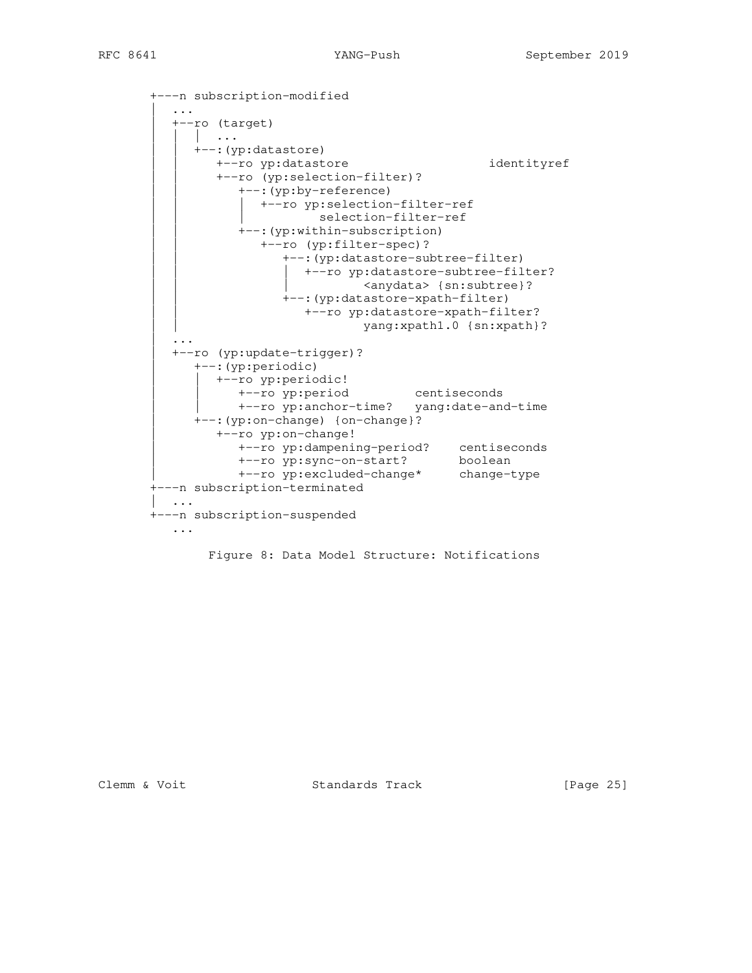```
 +---n subscription-modified
          | ...
          | +--ro (target)
            | | | ...
            | | +--:(yp:datastore)
               | | +--ro yp:datastore identityref
               | | +--ro (yp:selection-filter)?
                  +--: (yp:by-reference)
                  | +--ro yp:selection-filter-ref
                           selection-filter-ref
                  +--: (yp:within-subscription)
                     +--ro (yp:filter-spec)?
                         | | +--:(yp:datastore-subtree-filter)
                           | | | +--ro yp:datastore-subtree-filter?
                                   <anydata> {sn:subtree}?
                         | | +--:(yp:datastore-xpath-filter)
                           | | +--ro yp:datastore-xpath-filter?
                                   yang:xpath1.0 {sn:xpath}?
| .... | ....
          | +--ro (yp:update-trigger)?
             | +--:(yp:periodic)
               | | +--ro yp:periodic!
                  | | +--ro yp:period centiseconds
                  | | +--ro yp:anchor-time? yang:date-and-time
             | +--:(yp:on-change) {on-change}?
                | +--ro yp:on-change!
 | +--ro yp:dampening-period? centiseconds
 | +--ro yp:sync-on-start? boolean
 | +--ro yp:excluded-change* change-type
       +---n subscription-terminated
         | ...
       +---n subscription-suspended
          ...
```
Figure 8: Data Model Structure: Notifications

Clemm & Voit Standards Track [Page 25]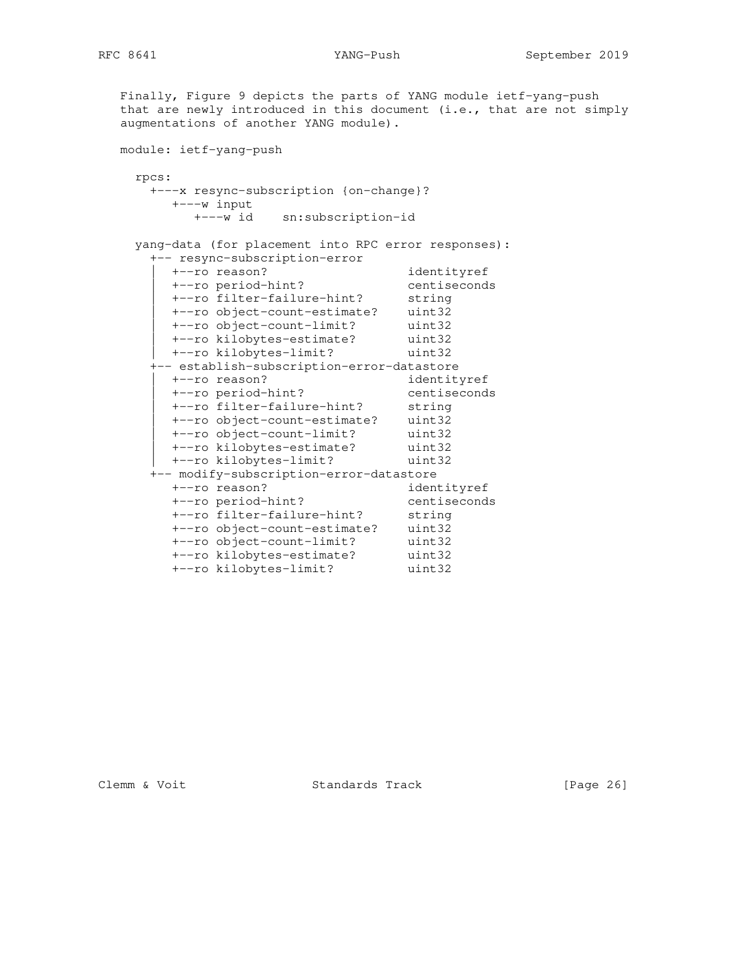Finally, Figure 9 depicts the parts of YANG module ietf-yang-push that are newly introduced in this document (i.e., that are not simply augmentations of another YANG module). module: ietf-yang-push rpcs: +---x resync-subscription {on-change}? +---w input +---w id sn:subscription-id yang-data (for placement into RPC error responses): +-- resync-subscription-error | +--ro reason? identityref | +--ro period-hint? centiseconds | +--ro filter-failure-hint? string | +--ro object-count-estimate? uint32 | +--ro object-count-limit? uint32 | +--ro kilobytes-estimate? uint32 | +--ro kilobytes-limit? uint32 +-- establish-subscription-error-datastore | +--ro reason? identityref | +--ro period-hint? centiseconds | +--ro filter-failure-hint? string | +--ro object-count-estimate? uint32 | +--ro object-count-limit? uint32 | +--ro kilobytes-estimate? uint32 | +--ro kilobytes-limit? uint32 +-- modify-subscription-error-datastore - Leason?<br>
+--ro period-hint?<br>
+--ro filter is and the cont? +--ro period-hint? centiseconds +--ro filter-failure-hint? string +--ro object-count-estimate? uint32 +--ro object-count-limit? uint32 +--ro kilobytes-estimate? uint32 +--ro kilobytes-limit? uint32

Clemm & Voit Standards Track [Page 26]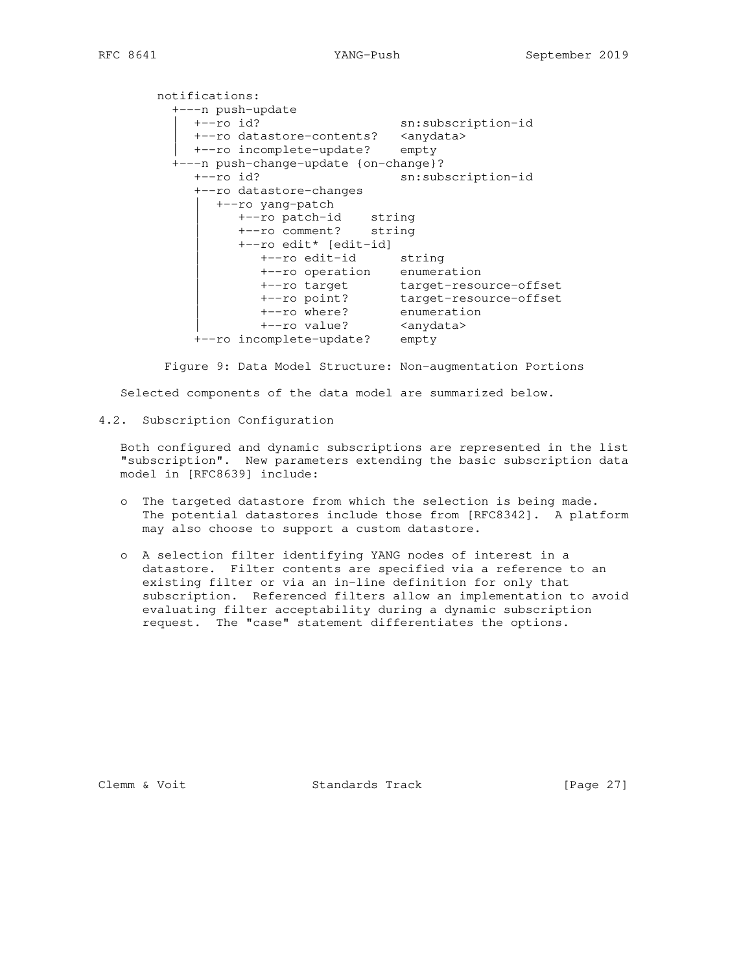notifications: +---n push-update | +--ro id? sn:subscription-id | +--ro datastore-contents? <anydata> | +--ro incomplete-update? empty +---n push-change-update {on-change}? +--ro id? sn:subscription-id +--ro datastore-changes | +--ro yang-patch | +--ro patch-id string | +--ro comment? string | +--ro edit\* [edit-id] | +--ro edit-id string | +--ro operation enumeration | +--ro target target-resource-offset | +--ro point? target-resource-offset | +--ro where? enumeration | +--ro value? <anydata> +--ro incomplete-update? empty

 Figure 9: Data Model Structure: Non-augmentation Portions Selected components of the data model are summarized below.

4.2. Subscription Configuration

 Both configured and dynamic subscriptions are represented in the list "subscription". New parameters extending the basic subscription data model in [RFC8639] include:

- o The targeted datastore from which the selection is being made. The potential datastores include those from [RFC8342]. A platform may also choose to support a custom datastore.
- o A selection filter identifying YANG nodes of interest in a datastore. Filter contents are specified via a reference to an existing filter or via an in-line definition for only that subscription. Referenced filters allow an implementation to avoid evaluating filter acceptability during a dynamic subscription request. The "case" statement differentiates the options.

Clemm & Voit **Standards Track** [Page 27]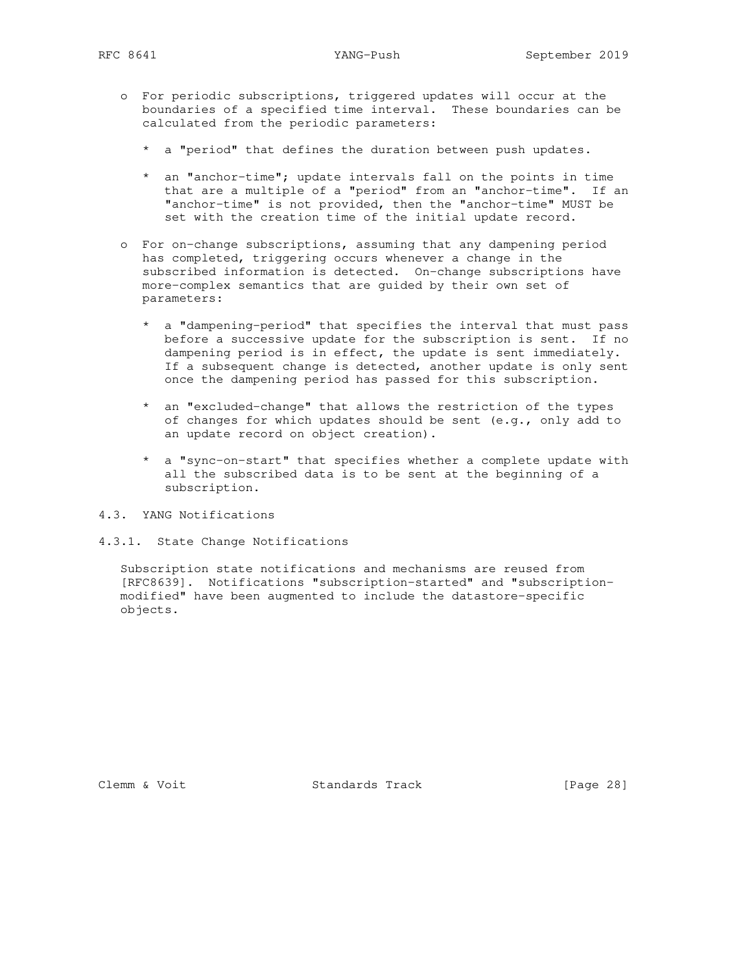- o For periodic subscriptions, triggered updates will occur at the boundaries of a specified time interval. These boundaries can be calculated from the periodic parameters:
	- \* a "period" that defines the duration between push updates.
	- \* an "anchor-time"; update intervals fall on the points in time that are a multiple of a "period" from an "anchor-time". If an "anchor-time" is not provided, then the "anchor-time" MUST be set with the creation time of the initial update record.
- o For on-change subscriptions, assuming that any dampening period has completed, triggering occurs whenever a change in the subscribed information is detected. On-change subscriptions have more-complex semantics that are guided by their own set of parameters:
	- \* a "dampening-period" that specifies the interval that must pass before a successive update for the subscription is sent. If no dampening period is in effect, the update is sent immediately. If a subsequent change is detected, another update is only sent once the dampening period has passed for this subscription.
	- \* an "excluded-change" that allows the restriction of the types of changes for which updates should be sent (e.g., only add to an update record on object creation).
	- \* a "sync-on-start" that specifies whether a complete update with all the subscribed data is to be sent at the beginning of a subscription.
- 4.3. YANG Notifications
- 4.3.1. State Change Notifications

 Subscription state notifications and mechanisms are reused from [RFC8639]. Notifications "subscription-started" and "subscription modified" have been augmented to include the datastore-specific objects.

Clemm & Voit Standards Track [Page 28]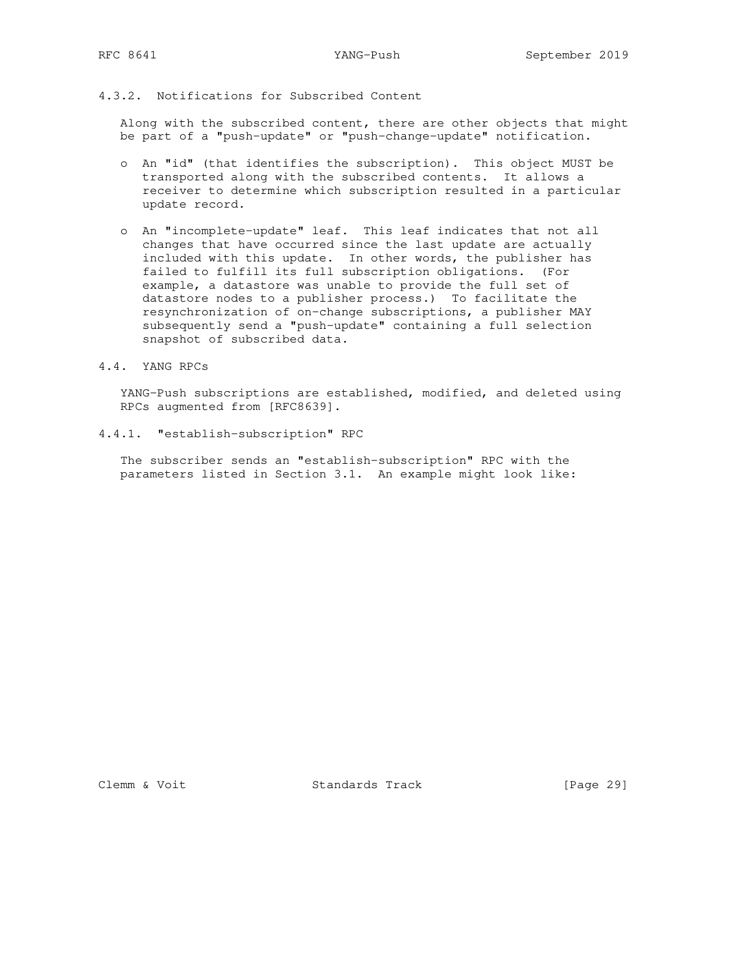## 4.3.2. Notifications for Subscribed Content

 Along with the subscribed content, there are other objects that might be part of a "push-update" or "push-change-update" notification.

- o An "id" (that identifies the subscription). This object MUST be transported along with the subscribed contents. It allows a receiver to determine which subscription resulted in a particular update record.
- o An "incomplete-update" leaf. This leaf indicates that not all changes that have occurred since the last update are actually included with this update. In other words, the publisher has failed to fulfill its full subscription obligations. (For example, a datastore was unable to provide the full set of datastore nodes to a publisher process.) To facilitate the resynchronization of on-change subscriptions, a publisher MAY subsequently send a "push-update" containing a full selection snapshot of subscribed data.
- 4.4. YANG RPCs

 YANG-Push subscriptions are established, modified, and deleted using RPCs augmented from [RFC8639].

4.4.1. "establish-subscription" RPC

 The subscriber sends an "establish-subscription" RPC with the parameters listed in Section 3.1. An example might look like:

Clemm & Voit Standards Track [Page 29]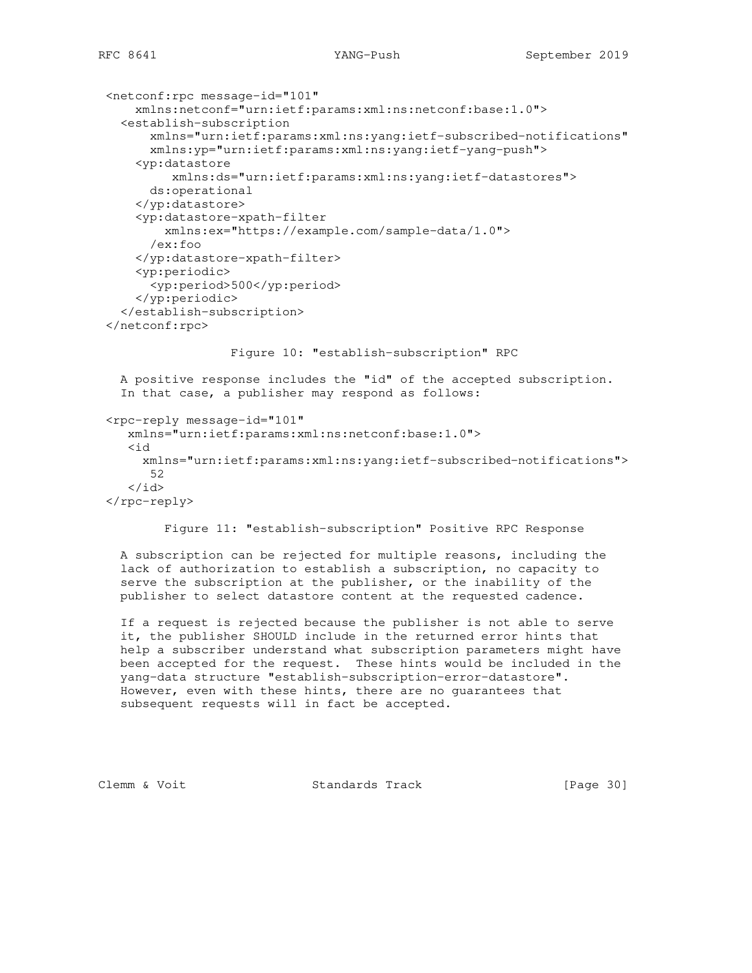```
 <netconf:rpc message-id="101"
     xmlns:netconf="urn:ietf:params:xml:ns:netconf:base:1.0">
   <establish-subscription
       xmlns="urn:ietf:params:xml:ns:yang:ietf-subscribed-notifications"
       xmlns:yp="urn:ietf:params:xml:ns:yang:ietf-yang-push">
     <yp:datastore
          xmlns:ds="urn:ietf:params:xml:ns:yang:ietf-datastores">
       ds:operational
     </yp:datastore>
     <yp:datastore-xpath-filter
         xmlns:ex="https://example.com/sample-data/1.0">
       /ex:foo
     </yp:datastore-xpath-filter>
     <yp:periodic>
       <yp:period>500</yp:period>
     </yp:periodic>
   </establish-subscription>
 </netconf:rpc>
                  Figure 10: "establish-subscription" RPC
   A positive response includes the "id" of the accepted subscription.
   In that case, a publisher may respond as follows:
 <rpc-reply message-id="101"
    xmlns="urn:ietf:params:xml:ns:netconf:base:1.0">
    <id
      xmlns="urn:ietf:params:xml:ns:yang:ietf-subscribed-notifications">
       52
   \langleid>
 </rpc-reply>
```
Figure 11: "establish-subscription" Positive RPC Response

 A subscription can be rejected for multiple reasons, including the lack of authorization to establish a subscription, no capacity to serve the subscription at the publisher, or the inability of the publisher to select datastore content at the requested cadence.

 If a request is rejected because the publisher is not able to serve it, the publisher SHOULD include in the returned error hints that help a subscriber understand what subscription parameters might have been accepted for the request. These hints would be included in the yang-data structure "establish-subscription-error-datastore". However, even with these hints, there are no guarantees that subsequent requests will in fact be accepted.

Clemm & Voit **Standards Track** [Page 30]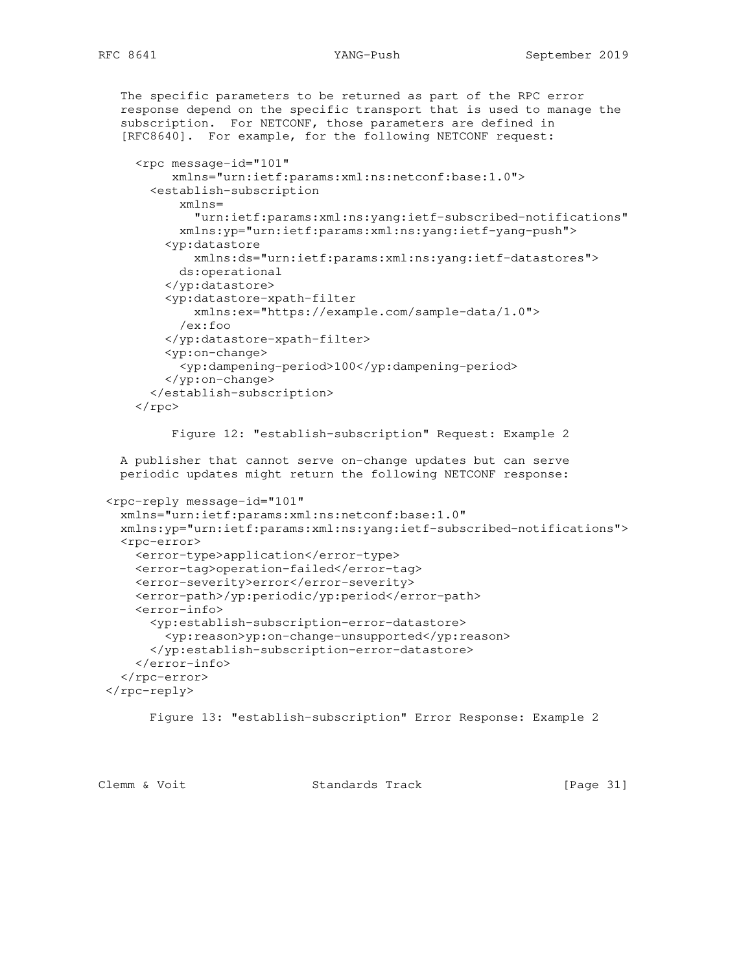```
 The specific parameters to be returned as part of the RPC error
   response depend on the specific transport that is used to manage the
   subscription. For NETCONF, those parameters are defined in
   [RFC8640]. For example, for the following NETCONF request:
     <rpc message-id="101"
          xmlns="urn:ietf:params:xml:ns:netconf:base:1.0">
       <establish-subscription
           xmlns=
             "urn:ietf:params:xml:ns:yang:ietf-subscribed-notifications"
           xmlns:yp="urn:ietf:params:xml:ns:yang:ietf-yang-push">
         <yp:datastore
             xmlns:ds="urn:ietf:params:xml:ns:yang:ietf-datastores">
           ds:operational
         </yp:datastore>
         <yp:datastore-xpath-filter
             xmlns:ex="https://example.com/sample-data/1.0">
           /ex:foo
         </yp:datastore-xpath-filter>
         <yp:on-change>
           <yp:dampening-period>100</yp:dampening-period>
         </yp:on-change>
       </establish-subscription>
    \langle /rpc>
          Figure 12: "establish-subscription" Request: Example 2
   A publisher that cannot serve on-change updates but can serve
  periodic updates might return the following NETCONF response:
 <rpc-reply message-id="101"
   xmlns="urn:ietf:params:xml:ns:netconf:base:1.0"
   xmlns:yp="urn:ietf:params:xml:ns:yang:ietf-subscribed-notifications">
   <rpc-error>
     <error-type>application</error-type>
     <error-tag>operation-failed</error-tag>
     <error-severity>error</error-severity>
     <error-path>/yp:periodic/yp:period</error-path>
     <error-info>
       <yp:establish-subscription-error-datastore>
         <yp:reason>yp:on-change-unsupported</yp:reason>
       </yp:establish-subscription-error-datastore>
     </error-info>
  </rpc-error>
\langle/rpc-reply>
       Figure 13: "establish-subscription" Error Response: Example 2
```
Clemm & Voit **Standards Track** [Page 31]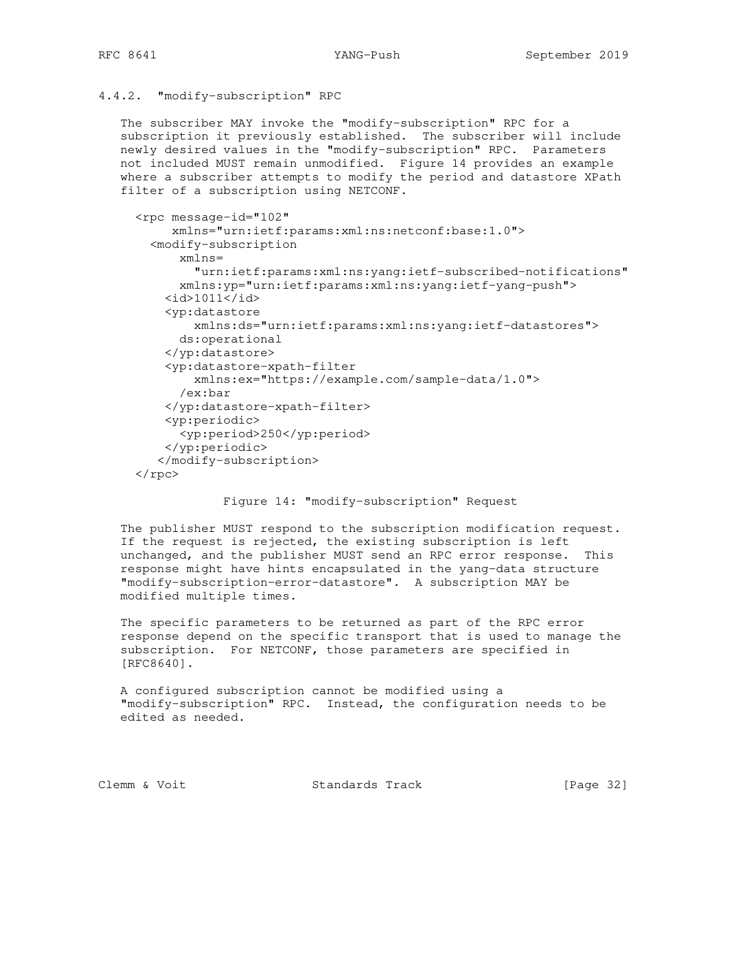### 4.4.2. "modify-subscription" RPC

 The subscriber MAY invoke the "modify-subscription" RPC for a subscription it previously established. The subscriber will include newly desired values in the "modify-subscription" RPC. Parameters not included MUST remain unmodified. Figure 14 provides an example where a subscriber attempts to modify the period and datastore XPath filter of a subscription using NETCONF.

```
 <rpc message-id="102"
      xmlns="urn:ietf:params:xml:ns:netconf:base:1.0">
   <modify-subscription
       xmlns=
         "urn:ietf:params:xml:ns:yang:ietf-subscribed-notifications"
       xmlns:yp="urn:ietf:params:xml:ns:yang:ietf-yang-push">
    <id>1011</id>
     <yp:datastore
         xmlns:ds="urn:ietf:params:xml:ns:yang:ietf-datastores">
       ds:operational
     </yp:datastore>
     <yp:datastore-xpath-filter
         xmlns:ex="https://example.com/sample-data/1.0">
       /ex:bar
     </yp:datastore-xpath-filter>
     <yp:periodic>
       <yp:period>250</yp:period>
     </yp:periodic>
    </modify-subscription>
\langle rpc>
```
### Figure 14: "modify-subscription" Request

 The publisher MUST respond to the subscription modification request. If the request is rejected, the existing subscription is left unchanged, and the publisher MUST send an RPC error response. This response might have hints encapsulated in the yang-data structure "modify-subscription-error-datastore". A subscription MAY be modified multiple times.

 The specific parameters to be returned as part of the RPC error response depend on the specific transport that is used to manage the subscription. For NETCONF, those parameters are specified in [RFC8640].

 A configured subscription cannot be modified using a "modify-subscription" RPC. Instead, the configuration needs to be edited as needed.

Clemm & Voit Standards Track [Page 32]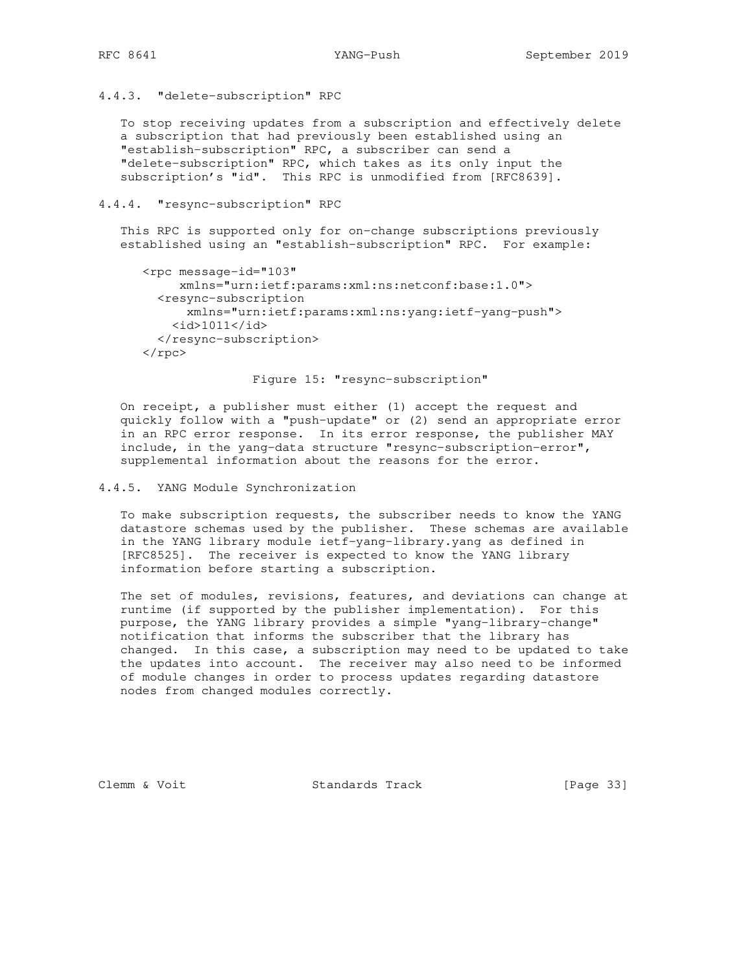### 4.4.3. "delete-subscription" RPC

 To stop receiving updates from a subscription and effectively delete a subscription that had previously been established using an "establish-subscription" RPC, a subscriber can send a "delete-subscription" RPC, which takes as its only input the subscription's "id". This RPC is unmodified from [RFC8639].

4.4.4. "resync-subscription" RPC

 This RPC is supported only for on-change subscriptions previously established using an "establish-subscription" RPC. For example:

```
 <rpc message-id="103"
      xmlns="urn:ietf:params:xml:ns:netconf:base:1.0">
   <resync-subscription
       xmlns="urn:ietf:params:xml:ns:yang:ietf-yang-push">
    <id>1011</id>
   </resync-subscription>
\langle / rpc\rangle
```
Figure 15: "resync-subscription"

 On receipt, a publisher must either (1) accept the request and quickly follow with a "push-update" or (2) send an appropriate error in an RPC error response. In its error response, the publisher MAY include, in the yang-data structure "resync-subscription-error", supplemental information about the reasons for the error.

4.4.5. YANG Module Synchronization

 To make subscription requests, the subscriber needs to know the YANG datastore schemas used by the publisher. These schemas are available in the YANG library module ietf-yang-library.yang as defined in [RFC8525]. The receiver is expected to know the YANG library information before starting a subscription.

 The set of modules, revisions, features, and deviations can change at runtime (if supported by the publisher implementation). For this purpose, the YANG library provides a simple "yang-library-change" notification that informs the subscriber that the library has changed. In this case, a subscription may need to be updated to take the updates into account. The receiver may also need to be informed of module changes in order to process updates regarding datastore nodes from changed modules correctly.

Clemm & Voit Standards Track [Page 33]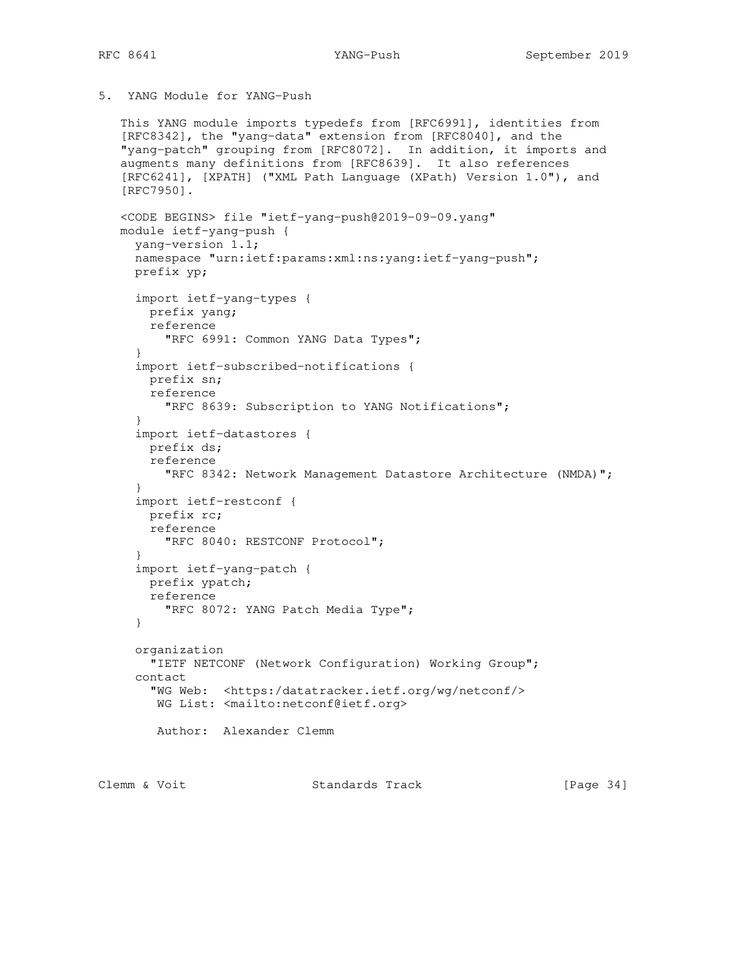# 5. YANG Module for YANG-Push

```
 This YANG module imports typedefs from [RFC6991], identities from
    [RFC8342], the "yang-data" extension from [RFC8040], and the
    "yang-patch" grouping from [RFC8072]. In addition, it imports and
    augments many definitions from [RFC8639]. It also references
    [RFC6241], [XPATH] ("XML Path Language (XPath) Version 1.0"), and
    [RFC7950].
    <CODE BEGINS> file "ietf-yang-push@2019-09-09.yang"
   module ietf-yang-push {
     yang-version 1.1;
     namespace "urn:ietf:params:xml:ns:yang:ietf-yang-push";
     prefix yp;
      import ietf-yang-types {
       prefix yang;
       reference
         "RFC 6991: Common YANG Data Types";
      }
      import ietf-subscribed-notifications {
       prefix sn;
       reference
          "RFC 8639: Subscription to YANG Notifications";
 }
      import ietf-datastores {
       prefix ds;
       reference
          "RFC 8342: Network Management Datastore Architecture (NMDA)";
      }
      import ietf-restconf {
       prefix rc;
       reference
          "RFC 8040: RESTCONF Protocol";
      }
      import ietf-yang-patch {
       prefix ypatch;
       reference
         "RFC 8072: YANG Patch Media Type";
      }
      organization
        "IETF NETCONF (Network Configuration) Working Group";
      contact
        "WG Web: <https:/datatracker.ietf.org/wg/netconf/>
        WG List: <mailto:netconf@ietf.org>
        Author: Alexander Clemm
Clemm & Voit Standards Track [Page 34]
```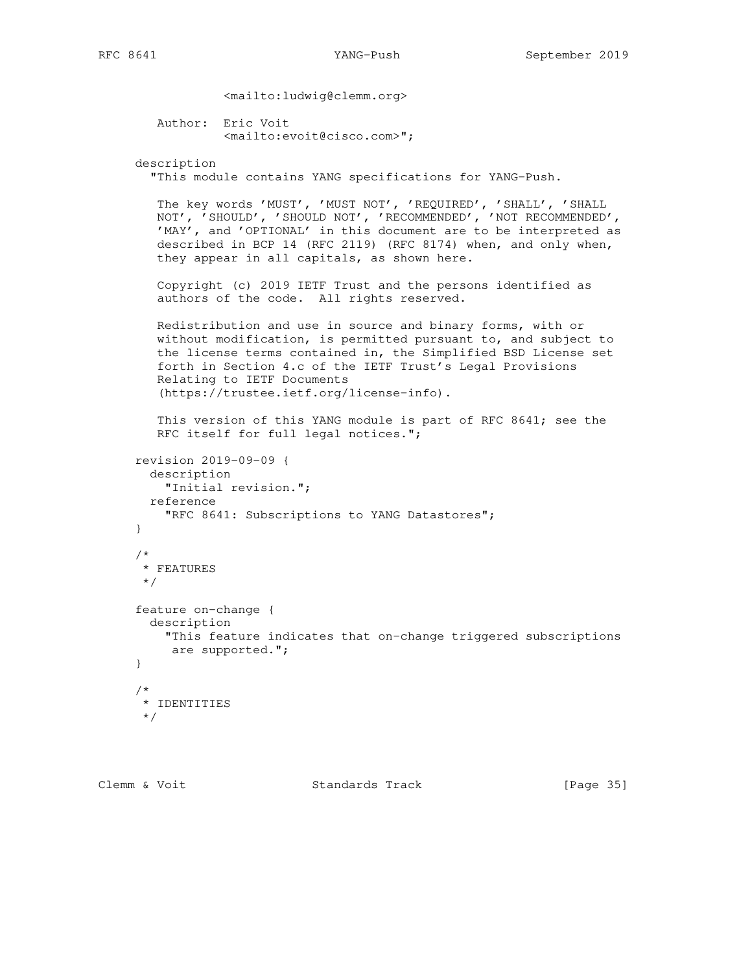```
 <mailto:ludwig@clemm.org>
```

```
 Author: Eric Voit
         <mailto:evoit@cisco.com>";
```
## description

```
 "This module contains YANG specifications for YANG-Push.
```

```
 The key words 'MUST', 'MUST NOT', 'REQUIRED', 'SHALL', 'SHALL
 NOT', 'SHOULD', 'SHOULD NOT', 'RECOMMENDED', 'NOT RECOMMENDED',
 'MAY', and 'OPTIONAL' in this document are to be interpreted as
 described in BCP 14 (RFC 2119) (RFC 8174) when, and only when,
 they appear in all capitals, as shown here.
```
 Copyright (c) 2019 IETF Trust and the persons identified as authors of the code. All rights reserved.

```
 Redistribution and use in source and binary forms, with or
 without modification, is permitted pursuant to, and subject to
 the license terms contained in, the Simplified BSD License set
 forth in Section 4.c of the IETF Trust's Legal Provisions
 Relating to IETF Documents
 (https://trustee.ietf.org/license-info).
```

```
 This version of this YANG module is part of RFC 8641; see the
 RFC itself for full legal notices.";
```

```
 revision 2019-09-09 {
   description
     "Initial revision.";
   reference
     "RFC 8641: Subscriptions to YANG Datastores";
 }
 /*
  * FEATURES
  */
 feature on-change {
   description
    "This feature indicates that on-change triggered subscriptions
     are supported.";
 }
 /*
 * IDENTITIES
  */
```
Clemm & Voit Standards Track [Page 35]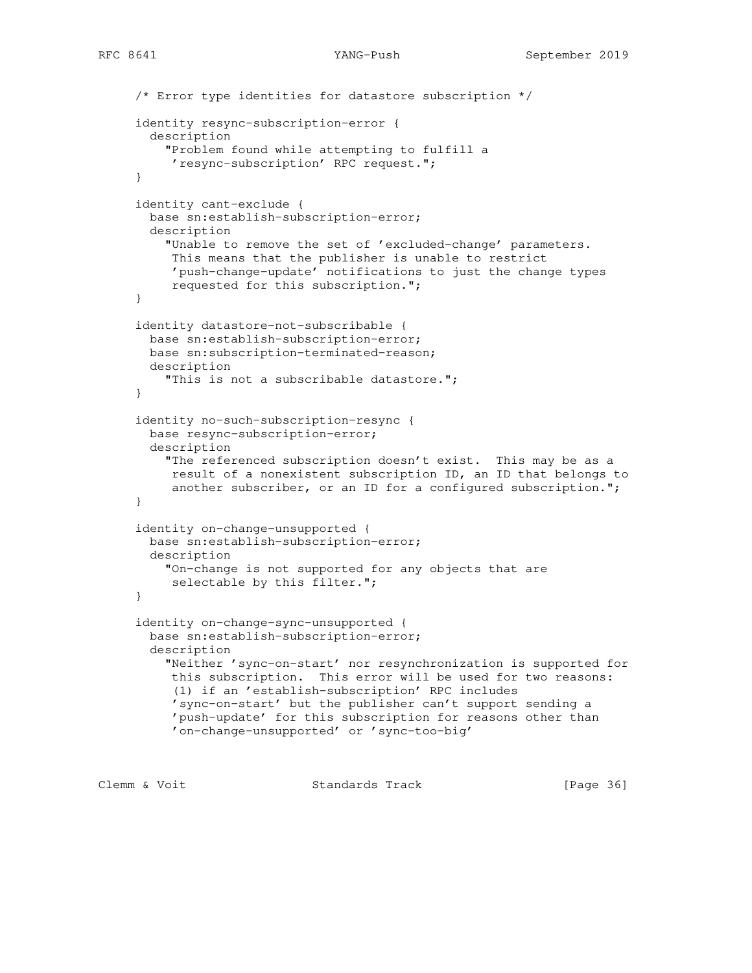```
 /* Error type identities for datastore subscription */
 identity resync-subscription-error {
  description
     "Problem found while attempting to fulfill a
      'resync-subscription' RPC request.";
 }
 identity cant-exclude {
  base sn:establish-subscription-error;
  description
     "Unable to remove the set of 'excluded-change' parameters.
     This means that the publisher is unable to restrict
      'push-change-update' notifications to just the change types
      requested for this subscription.";
 }
 identity datastore-not-subscribable {
  base sn:establish-subscription-error;
  base sn:subscription-terminated-reason;
  description
     "This is not a subscribable datastore.";
 }
 identity no-such-subscription-resync {
  base resync-subscription-error;
  description
     "The referenced subscription doesn't exist. This may be as a
      result of a nonexistent subscription ID, an ID that belongs to
      another subscriber, or an ID for a configured subscription.";
 }
 identity on-change-unsupported {
  base sn:establish-subscription-error;
  description
     "On-change is not supported for any objects that are
      selectable by this filter.";
 }
 identity on-change-sync-unsupported {
  base sn:establish-subscription-error;
  description
     "Neither 'sync-on-start' nor resynchronization is supported for
     this subscription. This error will be used for two reasons:
      (1) if an 'establish-subscription' RPC includes
     'sync-on-start' but the publisher can't support sending a
      'push-update' for this subscription for reasons other than
      'on-change-unsupported' or 'sync-too-big'
```
Clemm & Voit **Standards Track** [Page 36]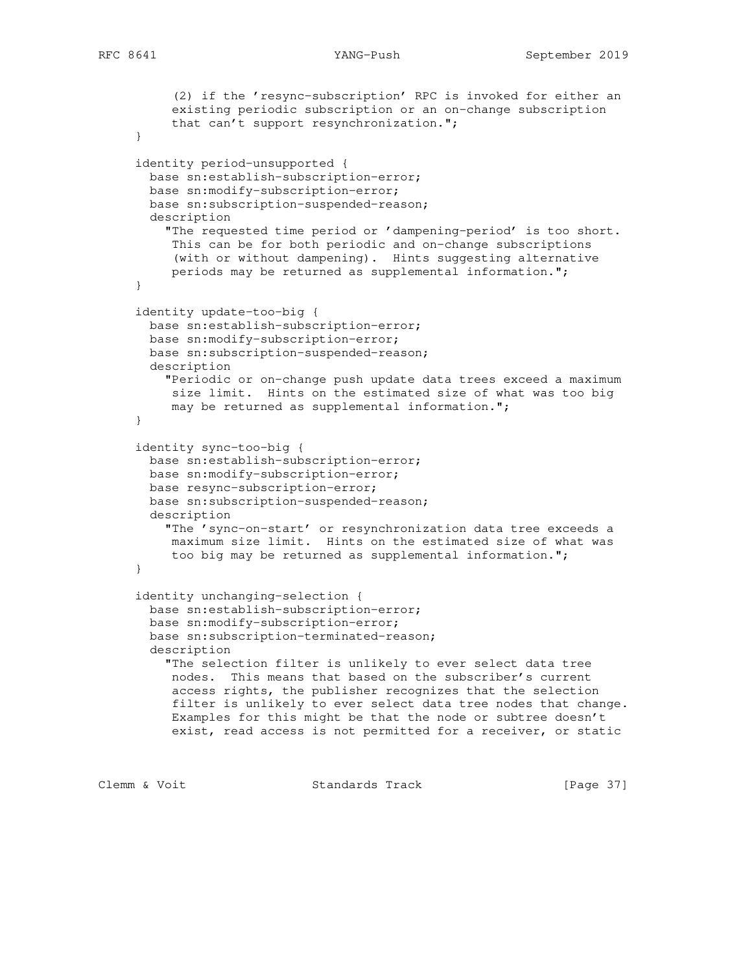```
 (2) if the 'resync-subscription' RPC is invoked for either an
      existing periodic subscription or an on-change subscription
      that can't support resynchronization.";
 }
 identity period-unsupported {
  base sn:establish-subscription-error;
  base sn:modify-subscription-error;
  base sn:subscription-suspended-reason;
  description
     "The requested time period or 'dampening-period' is too short.
     This can be for both periodic and on-change subscriptions
      (with or without dampening). Hints suggesting alternative
      periods may be returned as supplemental information.";
 }
 identity update-too-big {
  base sn:establish-subscription-error;
  base sn:modify-subscription-error;
  base sn:subscription-suspended-reason;
  description
     "Periodic or on-change push update data trees exceed a maximum
     size limit. Hints on the estimated size of what was too big
    may be returned as supplemental information.";
 }
 identity sync-too-big {
  base sn:establish-subscription-error;
  base sn:modify-subscription-error;
  base resync-subscription-error;
  base sn:subscription-suspended-reason;
  description
     "The 'sync-on-start' or resynchronization data tree exceeds a
     maximum size limit. Hints on the estimated size of what was
      too big may be returned as supplemental information.";
 }
 identity unchanging-selection {
  base sn:establish-subscription-error;
  base sn:modify-subscription-error;
  base sn:subscription-terminated-reason;
  description
     "The selection filter is unlikely to ever select data tree
     nodes. This means that based on the subscriber's current
     access rights, the publisher recognizes that the selection
     filter is unlikely to ever select data tree nodes that change.
     Examples for this might be that the node or subtree doesn't
      exist, read access is not permitted for a receiver, or static
```
Clemm & Voit Standards Track [Page 37]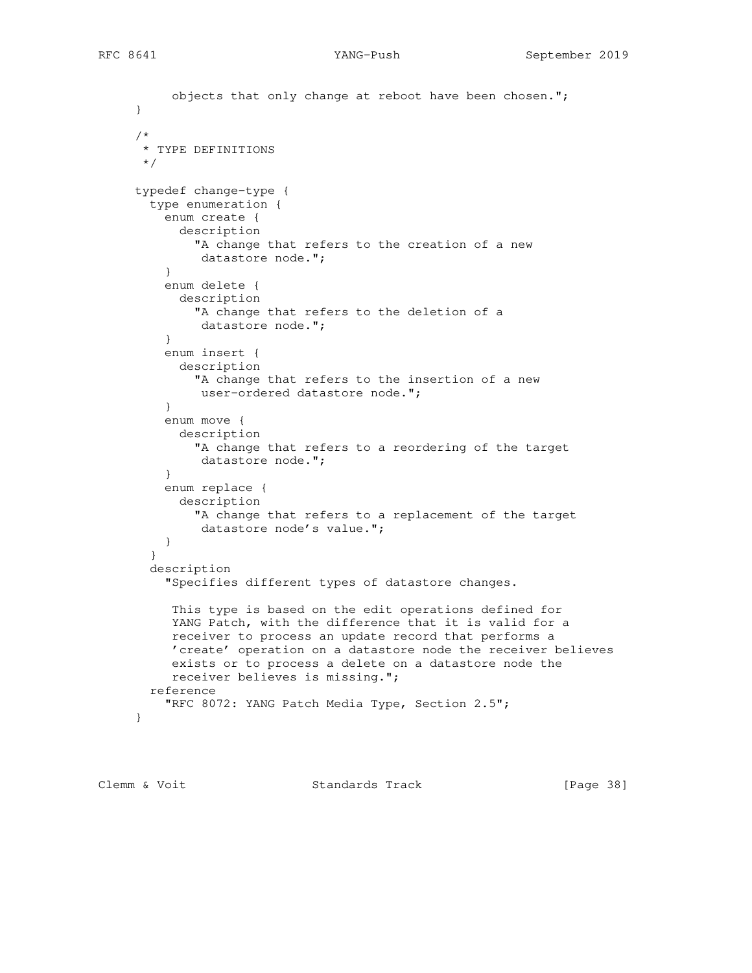```
 objects that only change at reboot have been chosen.";
      }
      /*
      * TYPE DEFINITIONS
      */
     typedef change-type {
       type enumeration {
         enum create {
           description
              "A change that refers to the creation of a new
              datastore node.";
 }
         enum delete {
           description
              "A change that refers to the deletion of a
             datastore node.";
 }
         enum insert {
           description
              "A change that refers to the insertion of a new
              user-ordered datastore node.";
 }
         enum move {
           description
              "A change that refers to a reordering of the target
              datastore node.";
 }
         enum replace {
           description
              "A change that refers to a replacement of the target
              datastore node's value.";
         }
        }
       description
          "Specifies different types of datastore changes.
          This type is based on the edit operations defined for
          YANG Patch, with the difference that it is valid for a
          receiver to process an update record that performs a
          'create' operation on a datastore node the receiver believes
          exists or to process a delete on a datastore node the
          receiver believes is missing.";
       reference
         "RFC 8072: YANG Patch Media Type, Section 2.5";
      }
```
Clemm & Voit **Standards Track** [Page 38]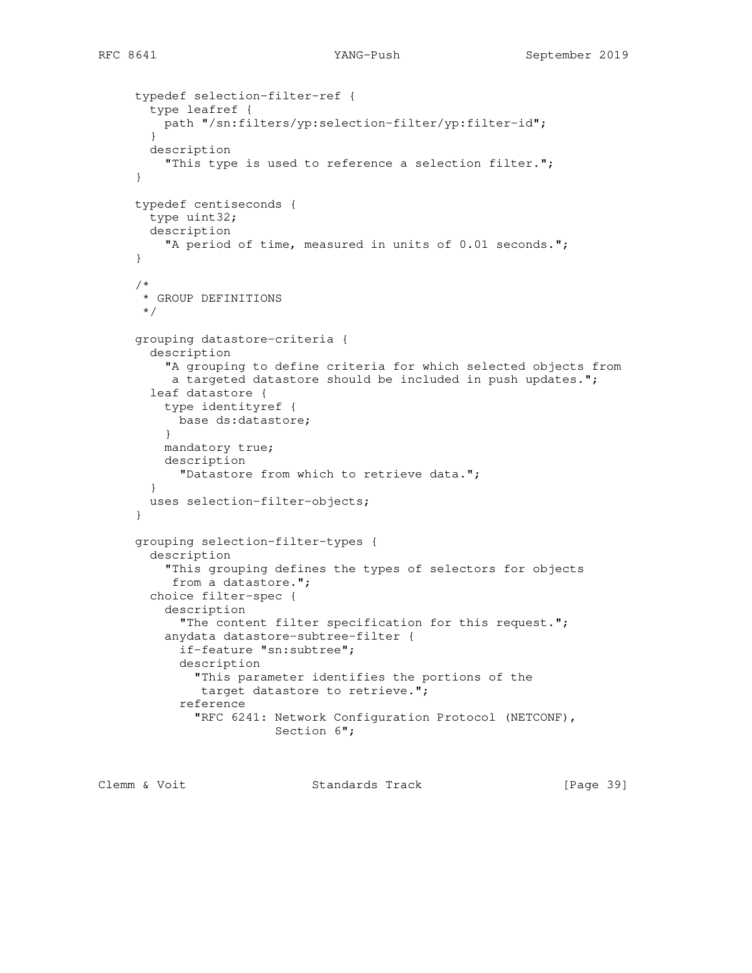```
 typedef selection-filter-ref {
        type leafref {
         path "/sn:filters/yp:selection-filter/yp:filter-id";
        }
       description
          "This type is used to reference a selection filter.";
      }
     typedef centiseconds {
       type uint32;
       description
          "A period of time, measured in units of 0.01 seconds.";
      }
      /*
       * GROUP DEFINITIONS
      */
      grouping datastore-criteria {
        description
          "A grouping to define criteria for which selected objects from
          a targeted datastore should be included in push updates.";
        leaf datastore {
          type identityref {
           base ds:datastore;
 }
         mandatory true;
          description
            "Datastore from which to retrieve data.";
        }
       uses selection-filter-objects;
      }
      grouping selection-filter-types {
        description
          "This grouping defines the types of selectors for objects
          from a datastore.";
        choice filter-spec {
          description
            "The content filter specification for this request.";
          anydata datastore-subtree-filter {
            if-feature "sn:subtree";
            description
              "This parameter identifies the portions of the
               target datastore to retrieve.";
            reference
              "RFC 6241: Network Configuration Protocol (NETCONF),
                         Section 6";
```
Clemm & Voit **Standards Track** [Page 39]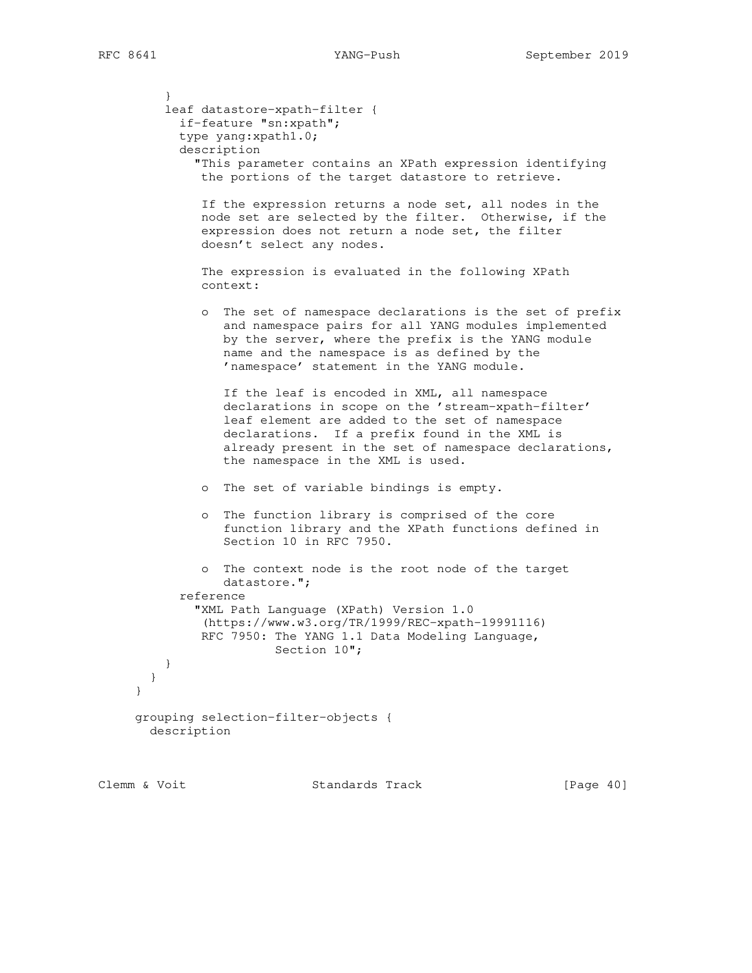} leaf datastore-xpath-filter { if-feature "sn:xpath"; type yang:xpath1.0; description "This parameter contains an XPath expression identifying the portions of the target datastore to retrieve. If the expression returns a node set, all nodes in the node set are selected by the filter. Otherwise, if the expression does not return a node set, the filter doesn't select any nodes. The expression is evaluated in the following XPath context: o The set of namespace declarations is the set of prefix and namespace pairs for all YANG modules implemented by the server, where the prefix is the YANG module name and the namespace is as defined by the 'namespace' statement in the YANG module. If the leaf is encoded in XML, all namespace declarations in scope on the 'stream-xpath-filter' leaf element are added to the set of namespace declarations. If a prefix found in the XML is already present in the set of namespace declarations, the namespace in the XML is used. o The set of variable bindings is empty. o The function library is comprised of the core function library and the XPath functions defined in Section 10 in RFC 7950. o The context node is the root node of the target datastore."; reference "XML Path Language (XPath) Version 1.0 (https://www.w3.org/TR/1999/REC-xpath-19991116) RFC 7950: The YANG 1.1 Data Modeling Language, Section 10"; } } grouping selection-filter-objects { description

}

Clemm & Voit Standards Track [Page 40]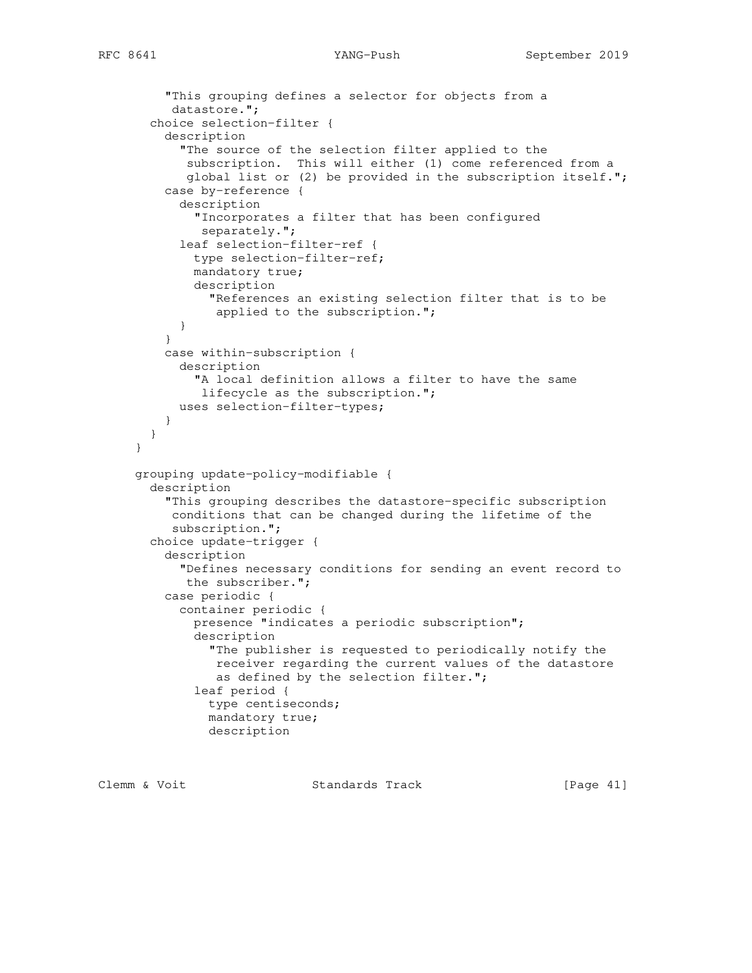```
 "This grouping defines a selector for objects from a
           datastore.";
        choice selection-filter {
          description
            "The source of the selection filter applied to the
             subscription. This will either (1) come referenced from a
             global list or (2) be provided in the subscription itself.";
          case by-reference {
            description
              "Incorporates a filter that has been configured
               separately.";
            leaf selection-filter-ref {
              type selection-filter-ref;
              mandatory true;
              description
               "References an existing selection filter that is to be
                 applied to the subscription.";
           }
          }
          case within-subscription {
            description
              "A local definition allows a filter to have the same
              lifecycle as the subscription.";
            uses selection-filter-types;
 }
        }
      }
      grouping update-policy-modifiable {
        description
          "This grouping describes the datastore-specific subscription
           conditions that can be changed during the lifetime of the
           subscription.";
        choice update-trigger {
          description
            "Defines necessary conditions for sending an event record to
            the subscriber.";
          case periodic {
            container periodic {
              presence "indicates a periodic subscription";
              description
                "The publisher is requested to periodically notify the
                 receiver regarding the current values of the datastore
                 as defined by the selection filter.";
              leaf period {
                type centiseconds;
                mandatory true;
                description
```
Clemm & Voit **Standards Track** [Page 41]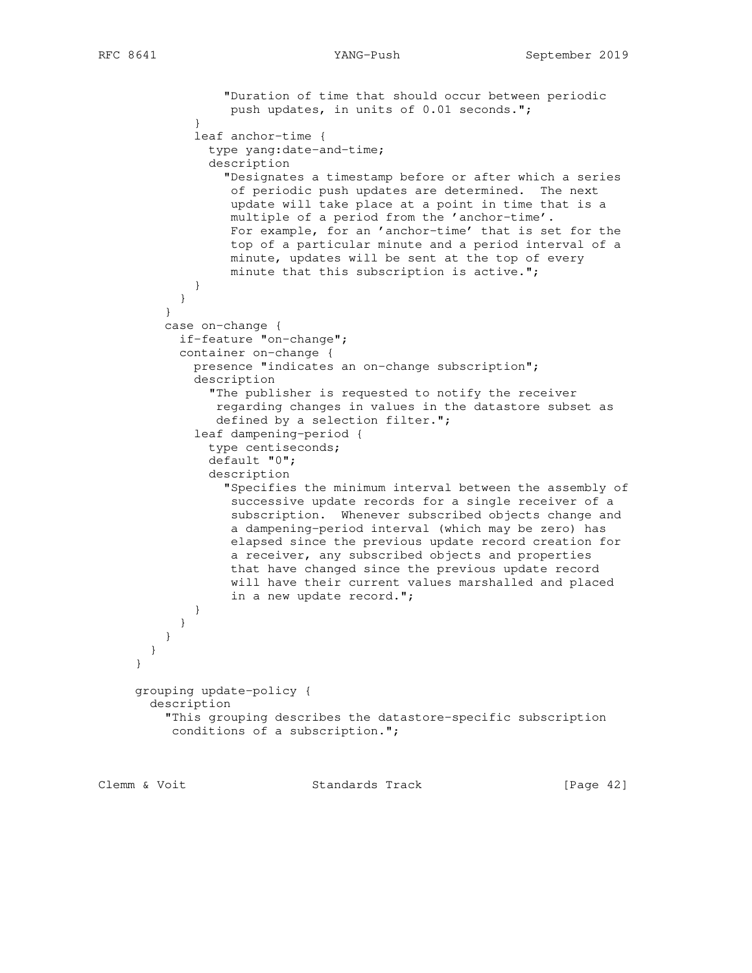```
 "Duration of time that should occur between periodic
                  push updates, in units of 0.01 seconds.";
 }
             leaf anchor-time {
               type yang:date-and-time;
                description
                  "Designates a timestamp before or after which a series
                  of periodic push updates are determined. The next
                  update will take place at a point in time that is a
                  multiple of a period from the 'anchor-time'.
                  For example, for an 'anchor-time' that is set for the
                  top of a particular minute and a period interval of a
                  minute, updates will be sent at the top of every
                  minute that this subscription is active.";
 }
           }
 }
         case on-change {
           if-feature "on-change";
           container on-change {
             presence "indicates an on-change subscription";
             description
                "The publisher is requested to notify the receiver
                regarding changes in values in the datastore subset as
                defined by a selection filter.";
             leaf dampening-period {
                type centiseconds;
                default "0";
                description
                  "Specifies the minimum interval between the assembly of
                  successive update records for a single receiver of a
                  subscription. Whenever subscribed objects change and
                  a dampening-period interval (which may be zero) has
                  elapsed since the previous update record creation for
                  a receiver, any subscribed objects and properties
                  that have changed since the previous update record
                  will have their current values marshalled and placed
                  in a new update record.";
 }
           }
         }
       }
     }
     grouping update-policy {
       description
          "This grouping describes the datastore-specific subscription
          conditions of a subscription.";
```
Clemm & Voit **Standards Track** [Page 42]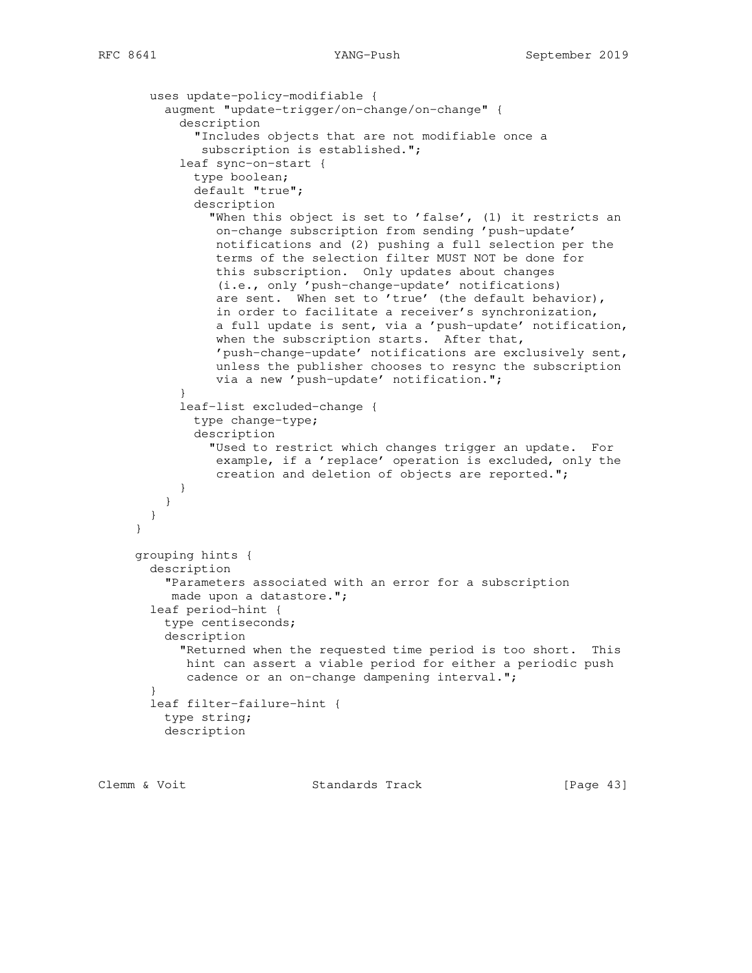```
 uses update-policy-modifiable {
         augment "update-trigger/on-change/on-change" {
            description
              "Includes objects that are not modifiable once a
               subscription is established.";
            leaf sync-on-start {
              type boolean;
              default "true";
              description
                "When this object is set to 'false', (1) it restricts an
                on-change subscription from sending 'push-update'
                 notifications and (2) pushing a full selection per the
                 terms of the selection filter MUST NOT be done for
                 this subscription. Only updates about changes
                 (i.e., only 'push-change-update' notifications)
                 are sent. When set to 'true' (the default behavior),
                 in order to facilitate a receiver's synchronization,
                 a full update is sent, via a 'push-update' notification,
                 when the subscription starts. After that,
                 'push-change-update' notifications are exclusively sent,
                 unless the publisher chooses to resync the subscription
                 via a new 'push-update' notification.";
 }
            leaf-list excluded-change {
              type change-type;
              description
                "Used to restrict which changes trigger an update. For
                 example, if a 'replace' operation is excluded, only the
                 creation and deletion of objects are reported.";
 }
 }
       }
      }
     grouping hints {
       description
          "Parameters associated with an error for a subscription
          made upon a datastore.";
       leaf period-hint {
         type centiseconds;
         description
            "Returned when the requested time period is too short. This
            hint can assert a viable period for either a periodic push
            cadence or an on-change dampening interval.";
        }
       leaf filter-failure-hint {
         type string;
         description
```
Clemm & Voit **Standards Track** [Page 43]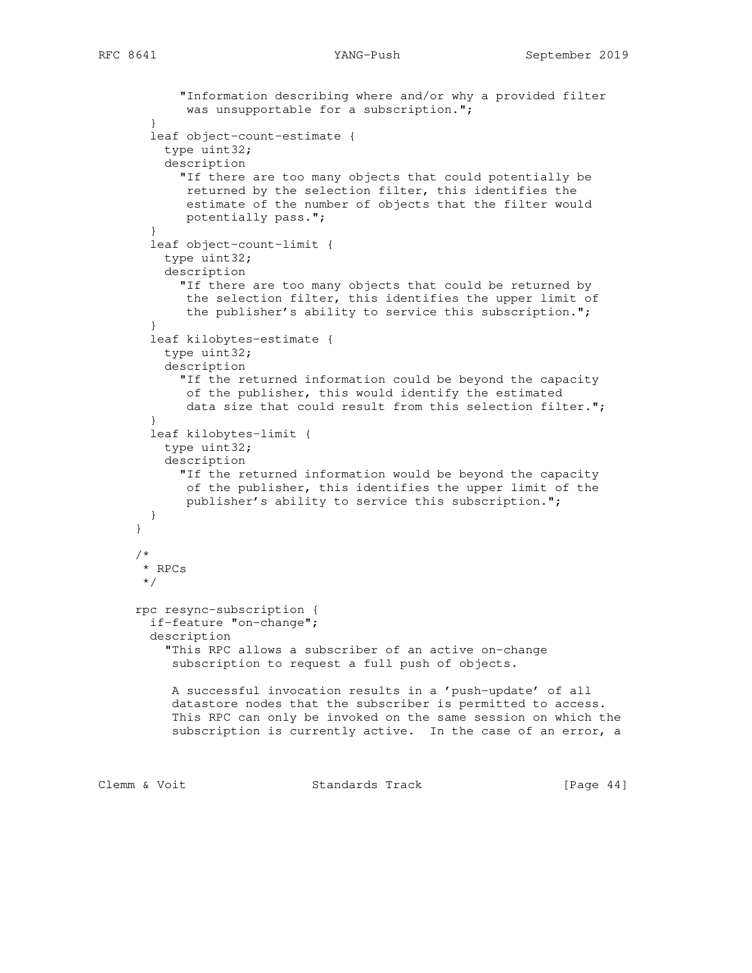```
 "Information describing where and/or why a provided filter
            was unsupportable for a subscription.";
        }
        leaf object-count-estimate {
         type uint32;
         description
            "If there are too many objects that could potentially be
            returned by the selection filter, this identifies the
             estimate of the number of objects that the filter would
             potentially pass.";
 }
        leaf object-count-limit {
         type uint32;
         description
           "If there are too many objects that could be returned by
            the selection filter, this identifies the upper limit of
            the publisher's ability to service this subscription.";
        }
        leaf kilobytes-estimate {
         type uint32;
         description
            "If the returned information could be beyond the capacity
            of the publisher, this would identify the estimated
            data size that could result from this selection filter.";
 }
        leaf kilobytes-limit {
         type uint32;
         description
            "If the returned information would be beyond the capacity
            of the publisher, this identifies the upper limit of the
            publisher's ability to service this subscription.";
        }
      }
      /*
       * RPCs
       */
     rpc resync-subscription {
       if-feature "on-change";
       description
          "This RPC allows a subscriber of an active on-change
          subscription to request a full push of objects.
           A successful invocation results in a 'push-update' of all
           datastore nodes that the subscriber is permitted to access.
           This RPC can only be invoked on the same session on which the
           subscription is currently active. In the case of an error, a
```
Clemm & Voit **Standards Track** [Page 44]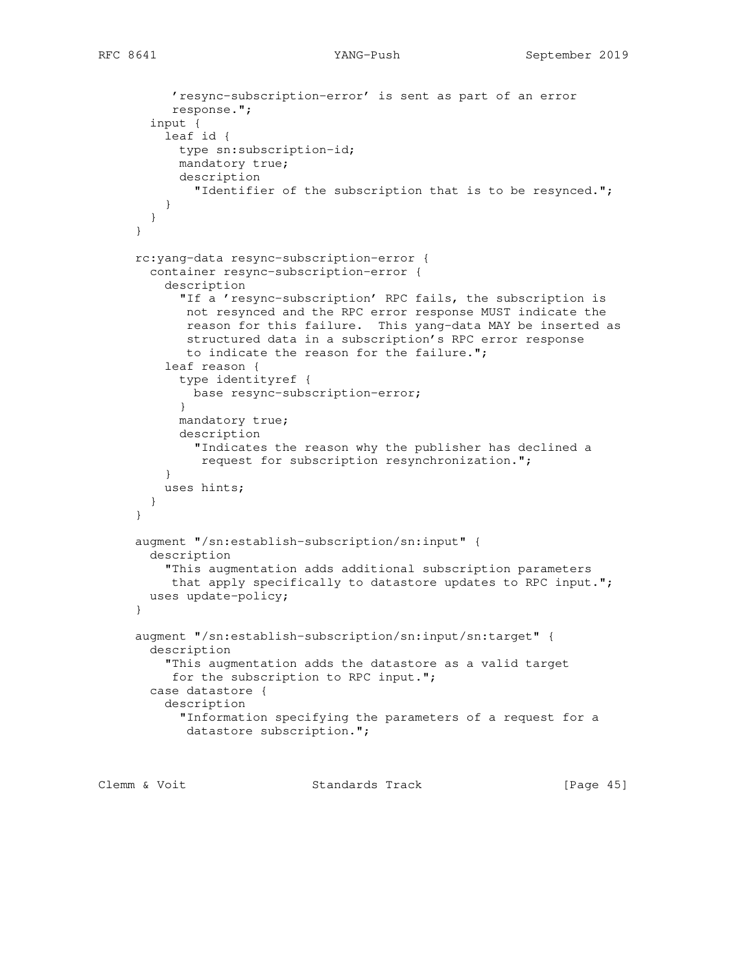```
 'resync-subscription-error' is sent as part of an error
           response.";
        input {
          leaf id {
           type sn:subscription-id;
           mandatory true;
           description
              "Identifier of the subscription that is to be resynced.";
          }
        }
      }
      rc:yang-data resync-subscription-error {
        container resync-subscription-error {
          description
            "If a 'resync-subscription' RPC fails, the subscription is
            not resynced and the RPC error response MUST indicate the
             reason for this failure. This yang-data MAY be inserted as
             structured data in a subscription's RPC error response
            to indicate the reason for the failure.";
          leaf reason {
            type identityref {
             base resync-subscription-error;
 }
           mandatory true;
            description
              "Indicates the reason why the publisher has declined a
               request for subscription resynchronization.";
 }
          uses hints;
        }
      }
     augment "/sn:establish-subscription/sn:input" {
        description
          "This augmentation adds additional subscription parameters
          that apply specifically to datastore updates to RPC input.";
       uses update-policy;
      }
     augment "/sn:establish-subscription/sn:input/sn:target" {
       description
          "This augmentation adds the datastore as a valid target
          for the subscription to RPC input.";
        case datastore {
          description
            "Information specifying the parameters of a request for a
            datastore subscription.";
```
Clemm & Voit **Standards Track** [Page 45]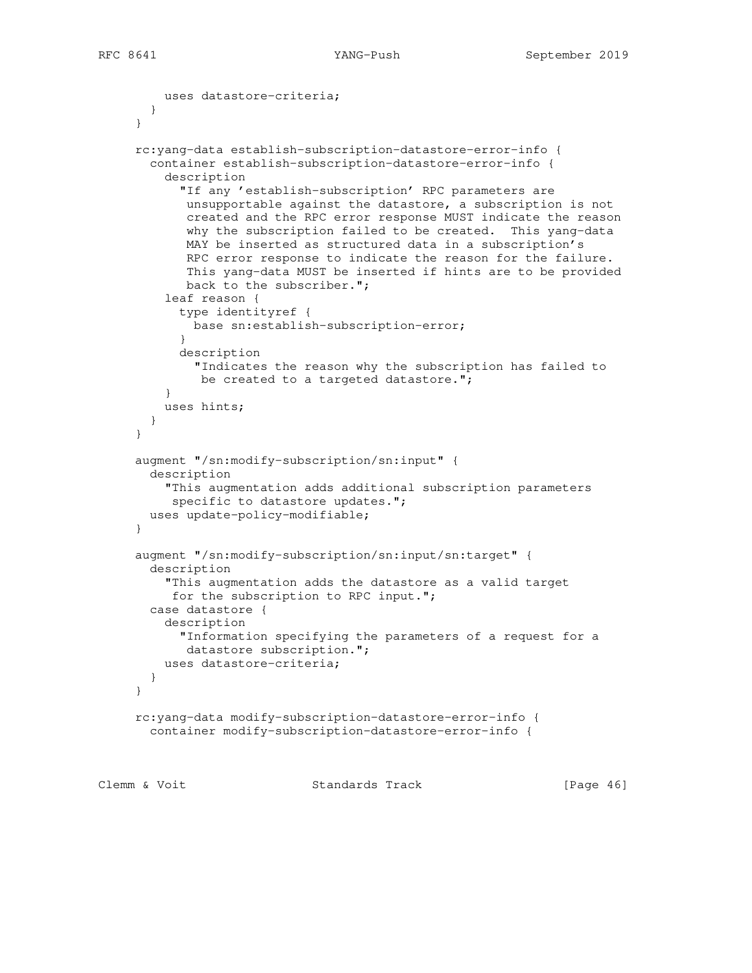```
 uses datastore-criteria;
        }
      }
     rc:yang-data establish-subscription-datastore-error-info {
        container establish-subscription-datastore-error-info {
          description
            "If any 'establish-subscription' RPC parameters are
            unsupportable against the datastore, a subscription is not
            created and the RPC error response MUST indicate the reason
            why the subscription failed to be created. This yang-data
            MAY be inserted as structured data in a subscription's
             RPC error response to indicate the reason for the failure.
             This yang-data MUST be inserted if hints are to be provided
            back to the subscriber.";
         leaf reason {
            type identityref {
             base sn:establish-subscription-error;
 }
            description
              "Indicates the reason why the subscription has failed to
             be created to a targeted datastore.";
 }
         uses hints;
        }
      }
     augment "/sn:modify-subscription/sn:input" {
       description
          "This augmentation adds additional subscription parameters
          specific to datastore updates.";
       uses update-policy-modifiable;
      }
      augment "/sn:modify-subscription/sn:input/sn:target" {
        description
          "This augmentation adds the datastore as a valid target
          for the subscription to RPC input.";
       case datastore {
         description
            "Information specifying the parameters of a request for a
            datastore subscription.";
         uses datastore-criteria;
       }
     }
     rc:yang-data modify-subscription-datastore-error-info {
       container modify-subscription-datastore-error-info {
```
Clemm & Voit **Standards Track** [Page 46]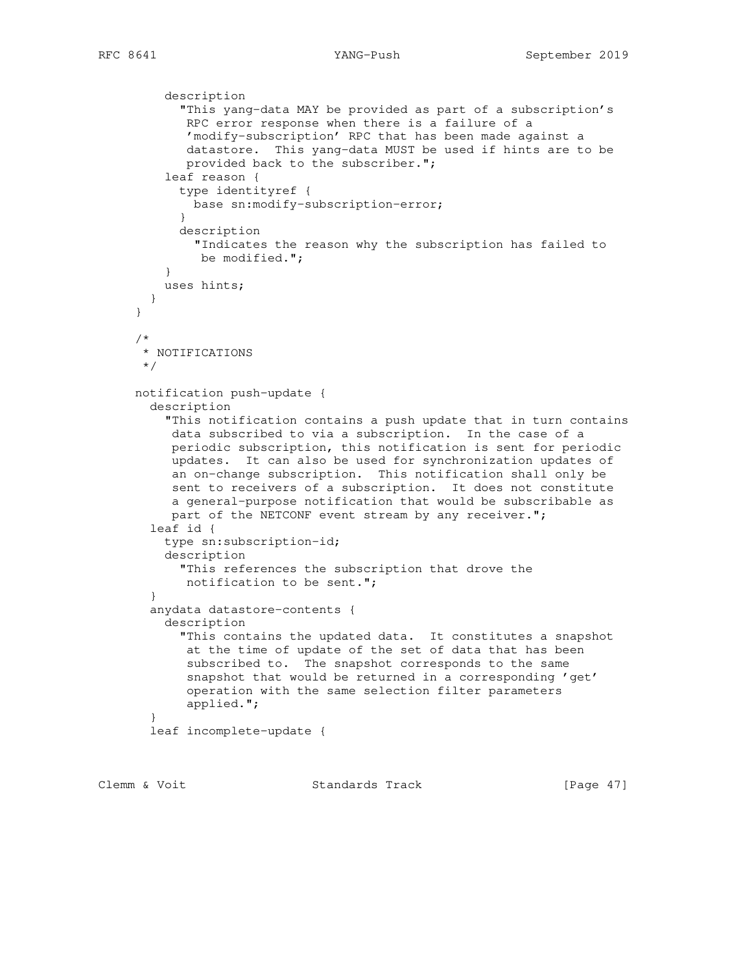```
 description
            "This yang-data MAY be provided as part of a subscription's
            RPC error response when there is a failure of a
             'modify-subscription' RPC that has been made against a
            datastore. This yang-data MUST be used if hints are to be
            provided back to the subscriber.";
          leaf reason {
           type identityref {
             base sn:modify-subscription-error;
 }
           description
             "Indicates the reason why the subscription has failed to
              be modified.";
 }
         uses hints;
       }
     }
      /*
      * NOTIFICATIONS
      */
     notification push-update {
       description
          "This notification contains a push update that in turn contains
          data subscribed to via a subscription. In the case of a
          periodic subscription, this notification is sent for periodic
          updates. It can also be used for synchronization updates of
          an on-change subscription. This notification shall only be
          sent to receivers of a subscription. It does not constitute
          a general-purpose notification that would be subscribable as
         part of the NETCONF event stream by any receiver.";
        leaf id {
         type sn:subscription-id;
         description
           "This references the subscription that drove the
            notification to be sent.";
 }
       anydata datastore-contents {
         description
           "This contains the updated data. It constitutes a snapshot
            at the time of update of the set of data that has been
            subscribed to. The snapshot corresponds to the same
            snapshot that would be returned in a corresponding 'get'
            operation with the same selection filter parameters
            applied.";
 }
       leaf incomplete-update {
```
Clemm & Voit **Standards Track** [Page 47]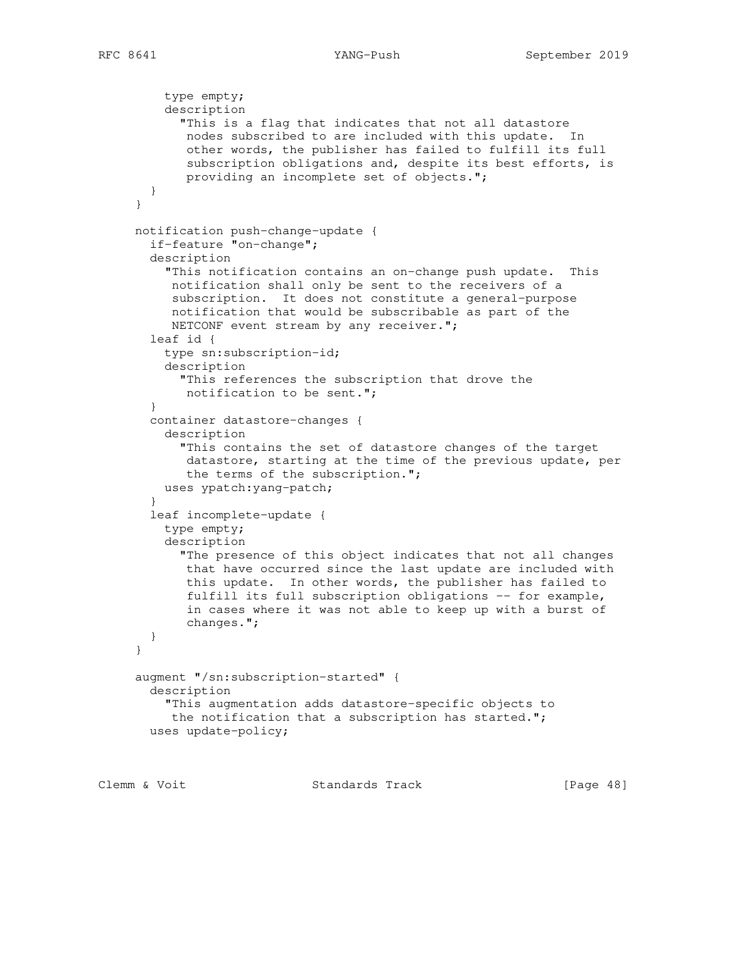```
 type empty;
     description
       "This is a flag that indicates that not all datastore
        nodes subscribed to are included with this update. In
        other words, the publisher has failed to fulfill its full
        subscription obligations and, despite its best efforts, is
        providing an incomplete set of objects.";
   }
 }
 notification push-change-update {
   if-feature "on-change";
   description
     "This notification contains an on-change push update. This
      notification shall only be sent to the receivers of a
      subscription. It does not constitute a general-purpose
      notification that would be subscribable as part of the
      NETCONF event stream by any receiver.";
   leaf id {
     type sn:subscription-id;
     description
       "This references the subscription that drove the
       notification to be sent.";
   }
   container datastore-changes {
     description
       "This contains the set of datastore changes of the target
        datastore, starting at the time of the previous update, per
        the terms of the subscription.";
     uses ypatch:yang-patch;
   }
   leaf incomplete-update {
     type empty;
     description
       "The presence of this object indicates that not all changes
       that have occurred since the last update are included with
        this update. In other words, the publisher has failed to
       fulfill its full subscription obligations -- for example,
        in cases where it was not able to keep up with a burst of
        changes.";
   }
 }
 augment "/sn:subscription-started" {
   description
     "This augmentation adds datastore-specific objects to
     the notification that a subscription has started.";
  uses update-policy;
```
Clemm & Voit **Standards Track** [Page 48]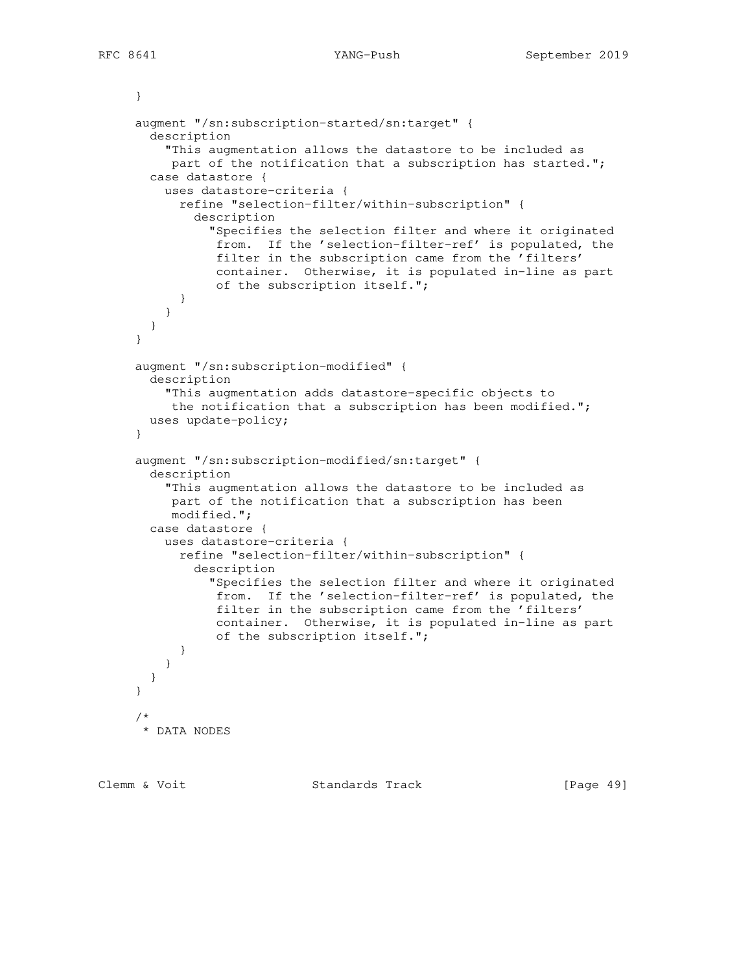```
 }
      augment "/sn:subscription-started/sn:target" {
       description
          "This augmentation allows the datastore to be included as
         part of the notification that a subscription has started.";
       case datastore {
         uses datastore-criteria {
            refine "selection-filter/within-subscription" {
              description
                "Specifies the selection filter and where it originated
                 from. If the 'selection-filter-ref' is populated, the
                 filter in the subscription came from the 'filters'
                 container. Otherwise, it is populated in-line as part
                 of the subscription itself.";
 }
 }
       }
     }
     augment "/sn:subscription-modified" {
       description
          "This augmentation adds datastore-specific objects to
          the notification that a subscription has been modified.";
       uses update-policy;
      }
     augment "/sn:subscription-modified/sn:target" {
       description
          "This augmentation allows the datastore to be included as
          part of the notification that a subscription has been
          modified.";
       case datastore {
         uses datastore-criteria {
           refine "selection-filter/within-subscription" {
             description
                "Specifies the selection filter and where it originated
                 from. If the 'selection-filter-ref' is populated, the
                 filter in the subscription came from the 'filters'
                 container. Otherwise, it is populated in-line as part
                 of the subscription itself.";
 }
          }
       }
     }
 /*
       * DATA NODES
```
Clemm & Voit **Standards Track** [Page 49]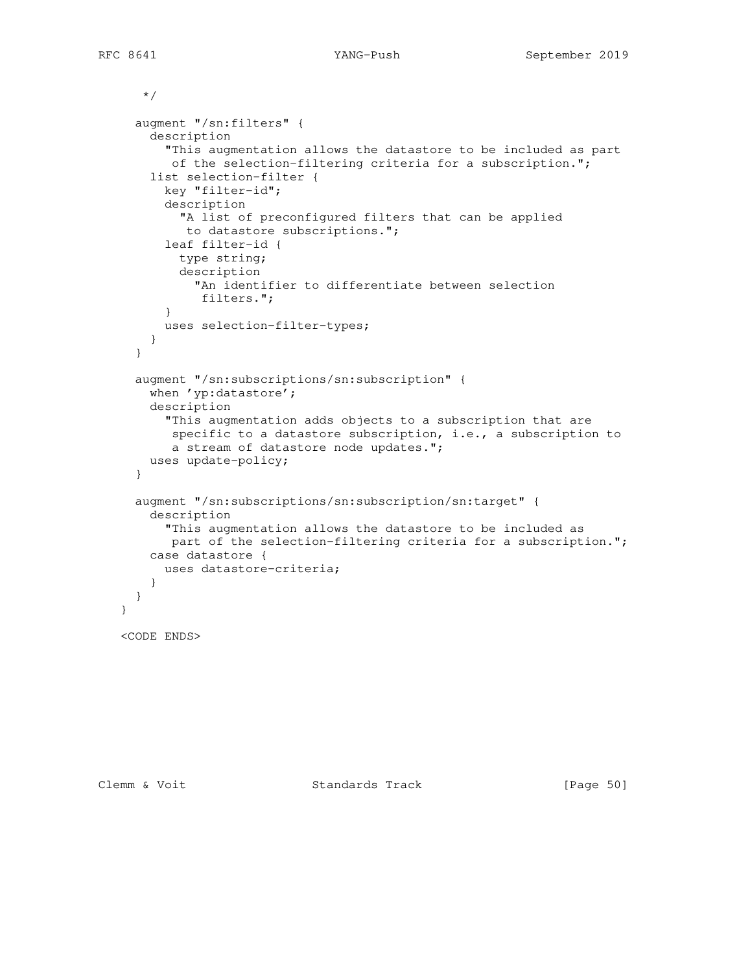```
 */
   augment "/sn:filters" {
     description
       "This augmentation allows the datastore to be included as part
        of the selection-filtering criteria for a subscription.";
     list selection-filter {
       key "filter-id";
       description
         "A list of preconfigured filters that can be applied
         to datastore subscriptions.";
       leaf filter-id {
         type string;
         description
           "An identifier to differentiate between selection
            filters.";
       }
      uses selection-filter-types;
    }
   }
   augment "/sn:subscriptions/sn:subscription" {
    when 'yp:datastore';
    description
       "This augmentation adds objects to a subscription that are
        specific to a datastore subscription, i.e., a subscription to
        a stream of datastore node updates.";
    uses update-policy;
   }
   augment "/sn:subscriptions/sn:subscription/sn:target" {
     description
       "This augmentation allows the datastore to be included as
       part of the selection-filtering criteria for a subscription.";
    case datastore {
      uses datastore-criteria;
     }
   }
 <CODE ENDS>
```
}

Clemm & Voit **Standards Track** [Page 50]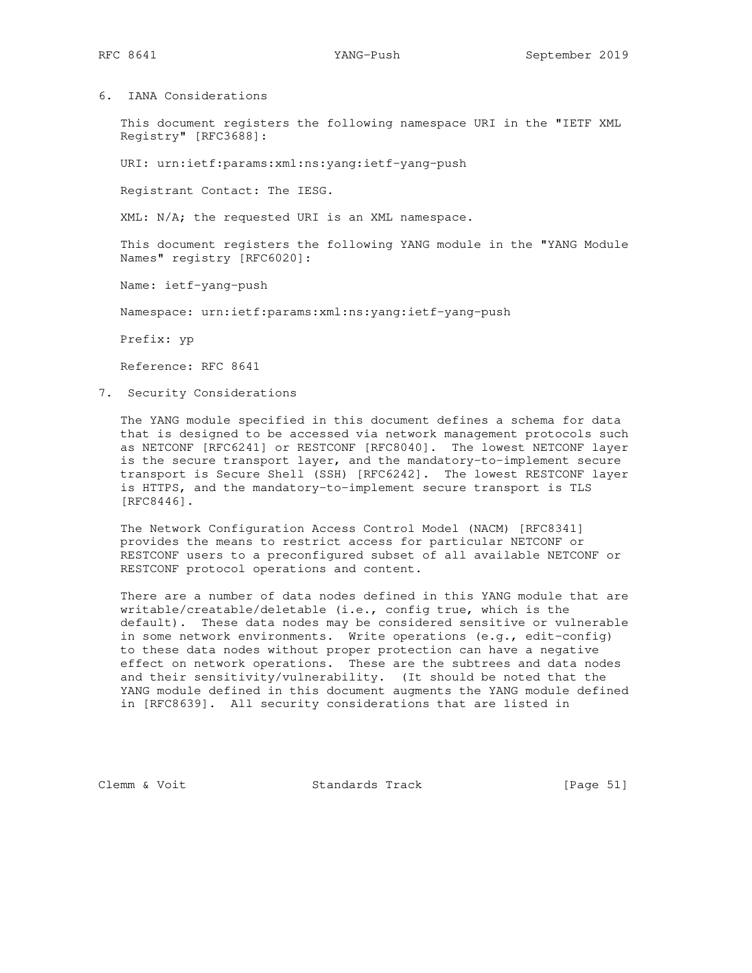6. IANA Considerations

 This document registers the following namespace URI in the "IETF XML Registry" [RFC3688]:

URI: urn:ietf:params:xml:ns:yang:ietf-yang-push

Registrant Contact: The IESG.

XML: N/A; the requested URI is an XML namespace.

 This document registers the following YANG module in the "YANG Module Names" registry [RFC6020]:

Name: ietf-yang-push

Namespace: urn:ietf:params:xml:ns:yang:ietf-yang-push

Prefix: yp

Reference: RFC 8641

7. Security Considerations

 The YANG module specified in this document defines a schema for data that is designed to be accessed via network management protocols such as NETCONF [RFC6241] or RESTCONF [RFC8040]. The lowest NETCONF layer is the secure transport layer, and the mandatory-to-implement secure transport is Secure Shell (SSH) [RFC6242]. The lowest RESTCONF layer is HTTPS, and the mandatory-to-implement secure transport is TLS [RFC8446].

 The Network Configuration Access Control Model (NACM) [RFC8341] provides the means to restrict access for particular NETCONF or RESTCONF users to a preconfigured subset of all available NETCONF or RESTCONF protocol operations and content.

 There are a number of data nodes defined in this YANG module that are writable/creatable/deletable (i.e., config true, which is the default). These data nodes may be considered sensitive or vulnerable in some network environments. Write operations (e.g., edit-config) to these data nodes without proper protection can have a negative effect on network operations. These are the subtrees and data nodes and their sensitivity/vulnerability. (It should be noted that the YANG module defined in this document augments the YANG module defined in [RFC8639]. All security considerations that are listed in

Clemm & Voit Standards Track [Page 51]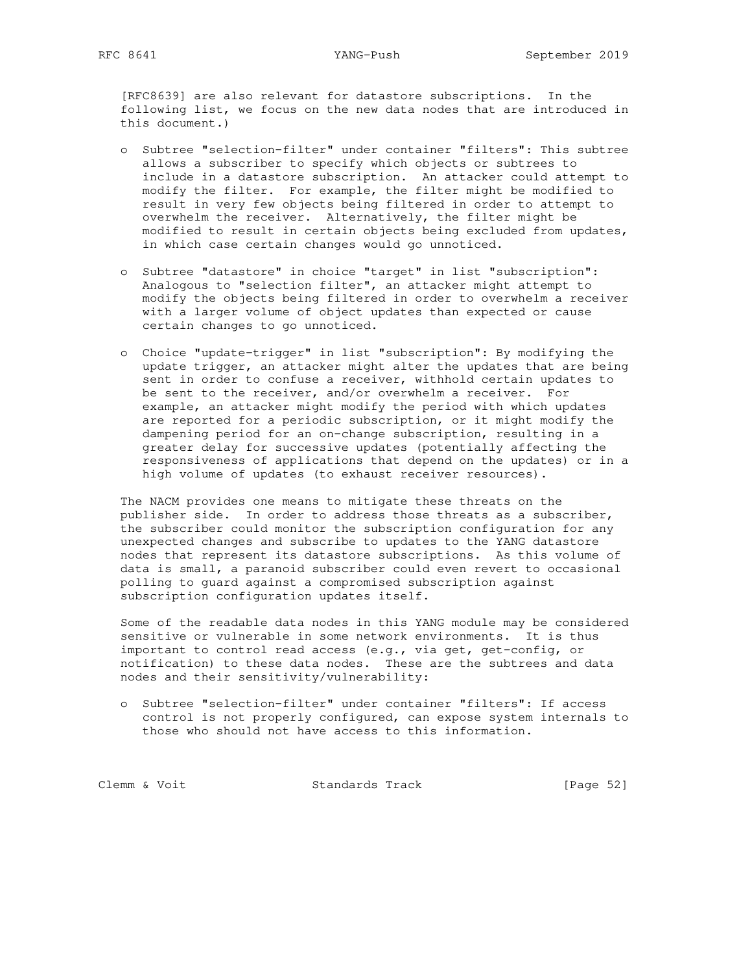[RFC8639] are also relevant for datastore subscriptions. In the following list, we focus on the new data nodes that are introduced in this document.)

- o Subtree "selection-filter" under container "filters": This subtree allows a subscriber to specify which objects or subtrees to include in a datastore subscription. An attacker could attempt to modify the filter. For example, the filter might be modified to result in very few objects being filtered in order to attempt to overwhelm the receiver. Alternatively, the filter might be modified to result in certain objects being excluded from updates, in which case certain changes would go unnoticed.
- o Subtree "datastore" in choice "target" in list "subscription": Analogous to "selection filter", an attacker might attempt to modify the objects being filtered in order to overwhelm a receiver with a larger volume of object updates than expected or cause certain changes to go unnoticed.
- o Choice "update-trigger" in list "subscription": By modifying the update trigger, an attacker might alter the updates that are being sent in order to confuse a receiver, withhold certain updates to be sent to the receiver, and/or overwhelm a receiver. For example, an attacker might modify the period with which updates are reported for a periodic subscription, or it might modify the dampening period for an on-change subscription, resulting in a greater delay for successive updates (potentially affecting the responsiveness of applications that depend on the updates) or in a high volume of updates (to exhaust receiver resources).

 The NACM provides one means to mitigate these threats on the publisher side. In order to address those threats as a subscriber, the subscriber could monitor the subscription configuration for any unexpected changes and subscribe to updates to the YANG datastore nodes that represent its datastore subscriptions. As this volume of data is small, a paranoid subscriber could even revert to occasional polling to guard against a compromised subscription against subscription configuration updates itself.

 Some of the readable data nodes in this YANG module may be considered sensitive or vulnerable in some network environments. It is thus important to control read access (e.g., via get, get-config, or notification) to these data nodes. These are the subtrees and data nodes and their sensitivity/vulnerability:

 o Subtree "selection-filter" under container "filters": If access control is not properly configured, can expose system internals to those who should not have access to this information.

Clemm & Voit Standards Track [Page 52]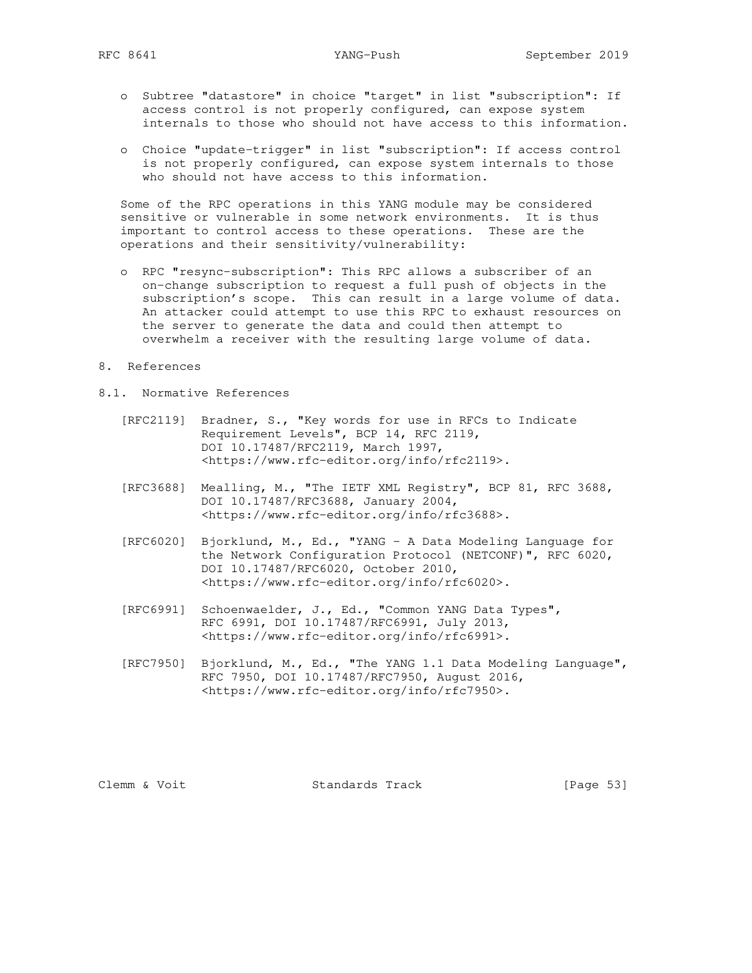- o Subtree "datastore" in choice "target" in list "subscription": If access control is not properly configured, can expose system internals to those who should not have access to this information.
- o Choice "update-trigger" in list "subscription": If access control is not properly configured, can expose system internals to those who should not have access to this information.

 Some of the RPC operations in this YANG module may be considered sensitive or vulnerable in some network environments. It is thus important to control access to these operations. These are the operations and their sensitivity/vulnerability:

- o RPC "resync-subscription": This RPC allows a subscriber of an on-change subscription to request a full push of objects in the subscription's scope. This can result in a large volume of data. An attacker could attempt to use this RPC to exhaust resources on the server to generate the data and could then attempt to overwhelm a receiver with the resulting large volume of data.
- 8. References
- 8.1. Normative References
	- [RFC2119] Bradner, S., "Key words for use in RFCs to Indicate Requirement Levels", BCP 14, RFC 2119, DOI 10.17487/RFC2119, March 1997, <https://www.rfc-editor.org/info/rfc2119>.
	- [RFC3688] Mealling, M., "The IETF XML Registry", BCP 81, RFC 3688, DOI 10.17487/RFC3688, January 2004, <https://www.rfc-editor.org/info/rfc3688>.
	- [RFC6020] Bjorklund, M., Ed., "YANG A Data Modeling Language for the Network Configuration Protocol (NETCONF)", RFC 6020, DOI 10.17487/RFC6020, October 2010, <https://www.rfc-editor.org/info/rfc6020>.
	- [RFC6991] Schoenwaelder, J., Ed., "Common YANG Data Types", RFC 6991, DOI 10.17487/RFC6991, July 2013, <https://www.rfc-editor.org/info/rfc6991>.
	- [RFC7950] Bjorklund, M., Ed., "The YANG 1.1 Data Modeling Language", RFC 7950, DOI 10.17487/RFC7950, August 2016, <https://www.rfc-editor.org/info/rfc7950>.

Clemm & Voit Standards Track [Page 53]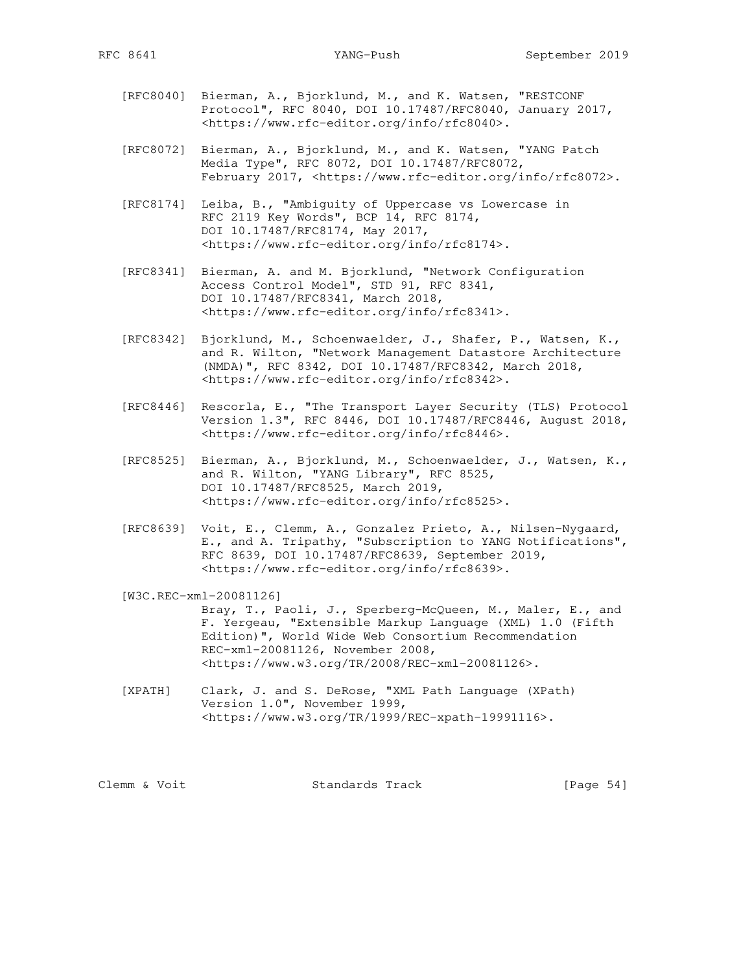- [RFC8040] Bierman, A., Bjorklund, M., and K. Watsen, "RESTCONF Protocol", RFC 8040, DOI 10.17487/RFC8040, January 2017, <https://www.rfc-editor.org/info/rfc8040>.
- [RFC8072] Bierman, A., Bjorklund, M., and K. Watsen, "YANG Patch Media Type", RFC 8072, DOI 10.17487/RFC8072, February 2017, <https://www.rfc-editor.org/info/rfc8072>.
	- [RFC8174] Leiba, B., "Ambiguity of Uppercase vs Lowercase in RFC 2119 Key Words", BCP 14, RFC 8174, DOI 10.17487/RFC8174, May 2017, <https://www.rfc-editor.org/info/rfc8174>.
- [RFC8341] Bierman, A. and M. Bjorklund, "Network Configuration Access Control Model", STD 91, RFC 8341, DOI 10.17487/RFC8341, March 2018, <https://www.rfc-editor.org/info/rfc8341>.
	- [RFC8342] Bjorklund, M., Schoenwaelder, J., Shafer, P., Watsen, K., and R. Wilton, "Network Management Datastore Architecture (NMDA)", RFC 8342, DOI 10.17487/RFC8342, March 2018, <https://www.rfc-editor.org/info/rfc8342>.
	- [RFC8446] Rescorla, E., "The Transport Layer Security (TLS) Protocol Version 1.3", RFC 8446, DOI 10.17487/RFC8446, August 2018, <https://www.rfc-editor.org/info/rfc8446>.
	- [RFC8525] Bierman, A., Bjorklund, M., Schoenwaelder, J., Watsen, K., and R. Wilton, "YANG Library", RFC 8525, DOI 10.17487/RFC8525, March 2019, <https://www.rfc-editor.org/info/rfc8525>.
	- [RFC8639] Voit, E., Clemm, A., Gonzalez Prieto, A., Nilsen-Nygaard, E., and A. Tripathy, "Subscription to YANG Notifications", RFC 8639, DOI 10.17487/RFC8639, September 2019, <https://www.rfc-editor.org/info/rfc8639>.
	- [W3C.REC-xml-20081126] Bray, T., Paoli, J., Sperberg-McQueen, M., Maler, E., and F. Yergeau, "Extensible Markup Language (XML) 1.0 (Fifth Edition)", World Wide Web Consortium Recommendation REC-xml-20081126, November 2008, <https://www.w3.org/TR/2008/REC-xml-20081126>.
	- [XPATH] Clark, J. and S. DeRose, "XML Path Language (XPath) Version 1.0", November 1999, <https://www.w3.org/TR/1999/REC-xpath-19991116>.

Clemm & Voit Standards Track [Page 54]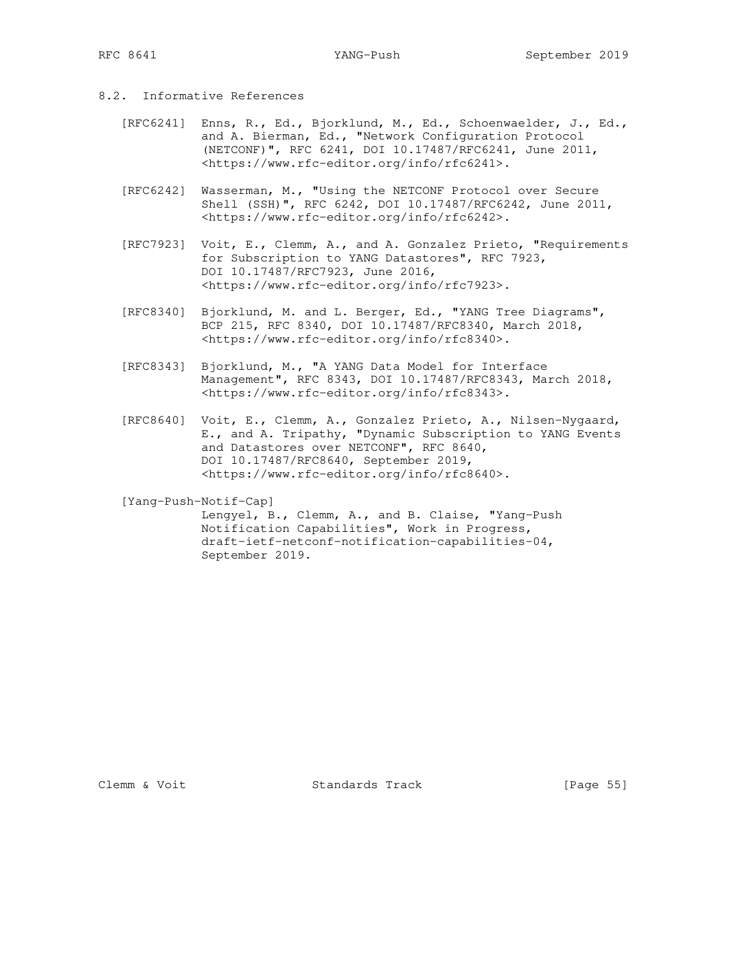- 8.2. Informative References
- [RFC6241] Enns, R., Ed., Bjorklund, M., Ed., Schoenwaelder, J., Ed., and A. Bierman, Ed., "Network Configuration Protocol (NETCONF)", RFC 6241, DOI 10.17487/RFC6241, June 2011, <https://www.rfc-editor.org/info/rfc6241>.
	- [RFC6242] Wasserman, M., "Using the NETCONF Protocol over Secure Shell (SSH)", RFC 6242, DOI 10.17487/RFC6242, June 2011, <https://www.rfc-editor.org/info/rfc6242>.
	- [RFC7923] Voit, E., Clemm, A., and A. Gonzalez Prieto, "Requirements for Subscription to YANG Datastores", RFC 7923, DOI 10.17487/RFC7923, June 2016, <https://www.rfc-editor.org/info/rfc7923>.
	- [RFC8340] Bjorklund, M. and L. Berger, Ed., "YANG Tree Diagrams", BCP 215, RFC 8340, DOI 10.17487/RFC8340, March 2018, <https://www.rfc-editor.org/info/rfc8340>.
	- [RFC8343] Bjorklund, M., "A YANG Data Model for Interface Management", RFC 8343, DOI 10.17487/RFC8343, March 2018, <https://www.rfc-editor.org/info/rfc8343>.
	- [RFC8640] Voit, E., Clemm, A., Gonzalez Prieto, A., Nilsen-Nygaard, E., and A. Tripathy, "Dynamic Subscription to YANG Events and Datastores over NETCONF", RFC 8640, DOI 10.17487/RFC8640, September 2019, <https://www.rfc-editor.org/info/rfc8640>.

[Yang-Push-Notif-Cap]

 Lengyel, B., Clemm, A., and B. Claise, "Yang-Push Notification Capabilities", Work in Progress, draft-ietf-netconf-notification-capabilities-04, September 2019.

Clemm & Voit Standards Track [Page 55]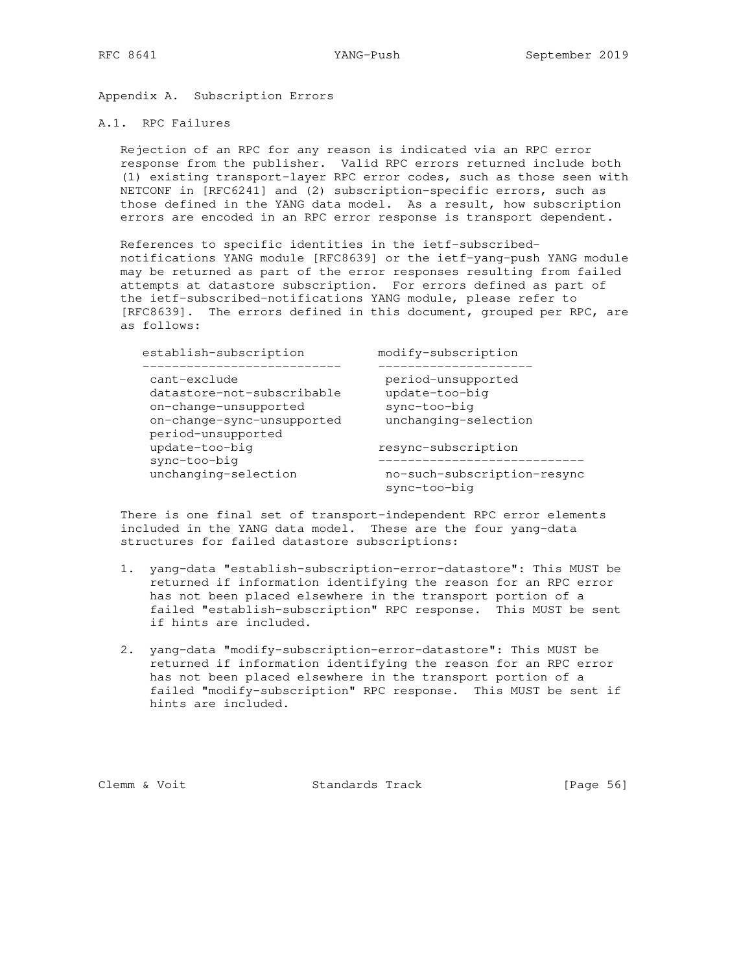Appendix A. Subscription Errors

### A.1. RPC Failures

 Rejection of an RPC for any reason is indicated via an RPC error response from the publisher. Valid RPC errors returned include both (1) existing transport-layer RPC error codes, such as those seen with NETCONF in [RFC6241] and (2) subscription-specific errors, such as those defined in the YANG data model. As a result, how subscription errors are encoded in an RPC error response is transport dependent.

 References to specific identities in the ietf-subscribed notifications YANG module [RFC8639] or the ietf-yang-push YANG module may be returned as part of the error responses resulting from failed attempts at datastore subscription. For errors defined as part of the ietf-subscribed-notifications YANG module, please refer to [RFC8639]. The errors defined in this document, grouped per RPC, are as follows:

| establish-subscription               | modify-subscription         |
|--------------------------------------|-----------------------------|
| cant-exclude                         | period-unsupported          |
| datastore-not-subscribable           | update-too-big              |
| on-change-unsupported                | sync-too-big                |
| on-change-sync-unsupported           | unchanging-selection        |
| period-unsupported<br>update-too-big | resync-subscription         |
| sync-too-big                         | no-such-subscription-resync |
| unchanging-selection                 | sync-too-big                |

 There is one final set of transport-independent RPC error elements included in the YANG data model. These are the four yang-data structures for failed datastore subscriptions:

- 1. yang-data "establish-subscription-error-datastore": This MUST be returned if information identifying the reason for an RPC error has not been placed elsewhere in the transport portion of a failed "establish-subscription" RPC response. This MUST be sent if hints are included.
- 2. yang-data "modify-subscription-error-datastore": This MUST be returned if information identifying the reason for an RPC error has not been placed elsewhere in the transport portion of a failed "modify-subscription" RPC response. This MUST be sent if hints are included.

Clemm & Voit Standards Track [Page 56]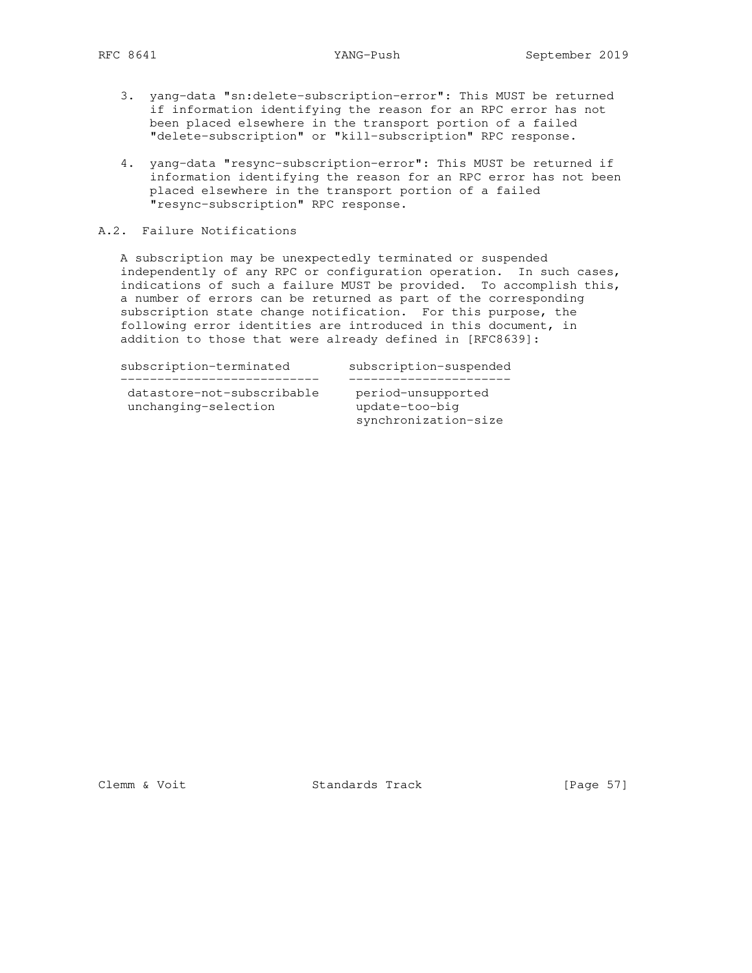- 3. yang-data "sn:delete-subscription-error": This MUST be returned if information identifying the reason for an RPC error has not been placed elsewhere in the transport portion of a failed "delete-subscription" or "kill-subscription" RPC response.
- 4. yang-data "resync-subscription-error": This MUST be returned if information identifying the reason for an RPC error has not been placed elsewhere in the transport portion of a failed "resync-subscription" RPC response.

## A.2. Failure Notifications

 A subscription may be unexpectedly terminated or suspended independently of any RPC or configuration operation. In such cases, indications of such a failure MUST be provided. To accomplish this, a number of errors can be returned as part of the corresponding subscription state change notification. For this purpose, the following error identities are introduced in this document, in addition to those that were already defined in [RFC8639]:

subscription-terminated subscription-suspended

 --------------------------- --------------------- datastore-not-subscribable period-unsupported unchanging-selection update-too-big

datastore-nou-sumedeclical datastore-nou-sumedeclical datastorensis update-tou-many synchronization-size

Clemm & Voit Standards Track [Page 57]